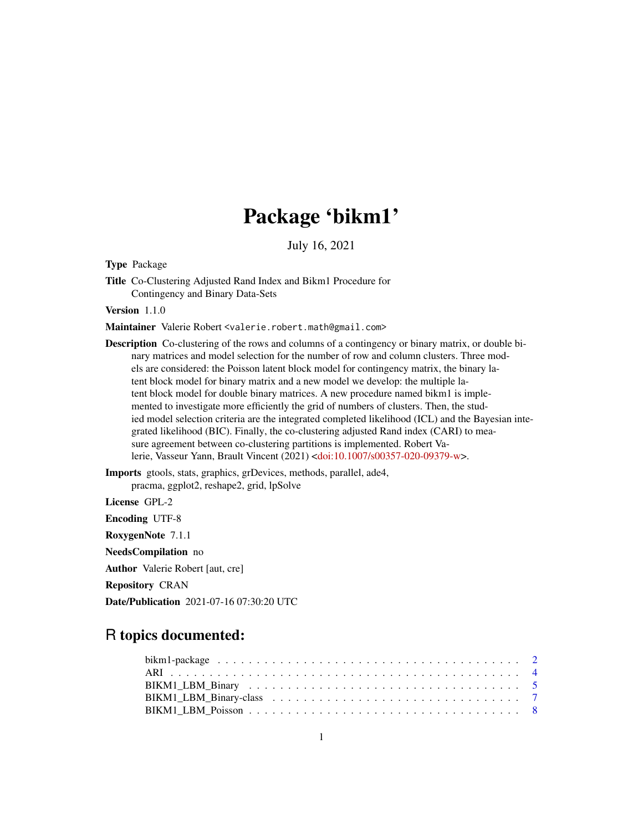# Package 'bikm1'

July 16, 2021

<span id="page-0-0"></span>Type Package

Title Co-Clustering Adjusted Rand Index and Bikm1 Procedure for Contingency and Binary Data-Sets

Version 1.1.0

Maintainer Valerie Robert <valerie.robert.math@gmail.com>

Description Co-clustering of the rows and columns of a contingency or binary matrix, or double binary matrices and model selection for the number of row and column clusters. Three models are considered: the Poisson latent block model for contingency matrix, the binary latent block model for binary matrix and a new model we develop: the multiple latent block model for double binary matrices. A new procedure named bikm1 is implemented to investigate more efficiently the grid of numbers of clusters. Then, the studied model selection criteria are the integrated completed likelihood (ICL) and the Bayesian integrated likelihood (BIC). Finally, the co-clustering adjusted Rand index (CARI) to measure agreement between co-clustering partitions is implemented. Robert Valerie, Vasseur Yann, Brault Vincent (2021) [<doi:10.1007/s00357-020-09379-w>](https://doi.org/10.1007/s00357-020-09379-w).

Imports gtools, stats, graphics, grDevices, methods, parallel, ade4, pracma, ggplot2, reshape2, grid, lpSolve

License GPL-2

Encoding UTF-8 RoxygenNote 7.1.1 NeedsCompilation no Author Valerie Robert [aut, cre]

Repository CRAN

Date/Publication 2021-07-16 07:30:20 UTC

# R topics documented: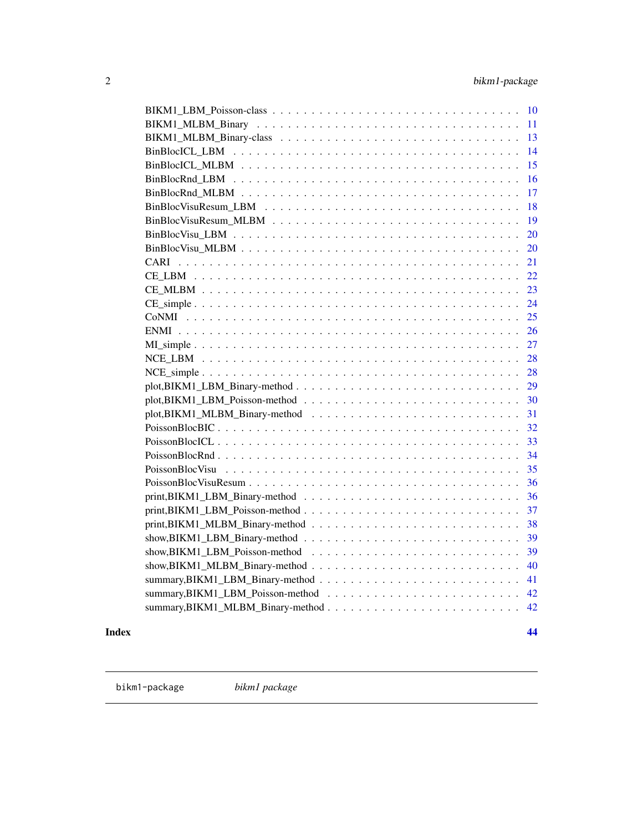<span id="page-1-0"></span>

| 10                |
|-------------------|
| 11                |
| 13                |
| 14                |
| 15                |
| 16                |
| 17                |
| 18                |
| 19                |
| 20                |
| 20                |
| 21<br><b>CARI</b> |
| 22                |
| 23                |
| 24                |
| 25                |
| 26                |
| 27                |
| 28                |
| 28                |
| 29                |
| 30                |
| 31                |
| 32                |
| 33                |
| 34                |
| 35                |
| 36                |
| 36                |
| 37                |
| 38                |
| 39                |
| 39                |
| 40                |
| 41                |
| 42                |
| 42                |
|                   |

#### **Index All the second contract of the second contract of the second contract of the second contract of the second contract of the second contract of the second contract of the second contract of the second contract of th**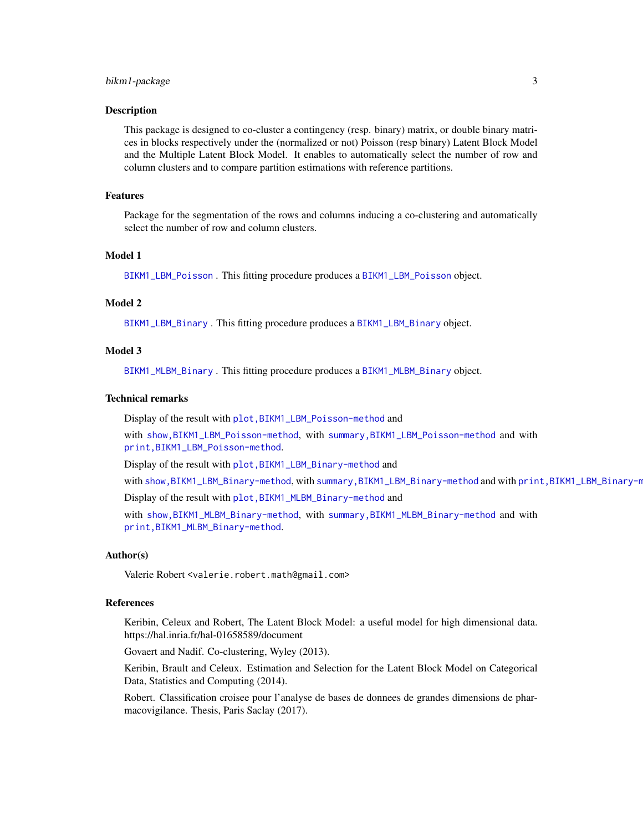#### <span id="page-2-0"></span>bikm1-package 3

#### Description

This package is designed to co-cluster a contingency (resp. binary) matrix, or double binary matrices in blocks respectively under the (normalized or not) Poisson (resp binary) Latent Block Model and the Multiple Latent Block Model. It enables to automatically select the number of row and column clusters and to compare partition estimations with reference partitions.

#### Features

Package for the segmentation of the rows and columns inducing a co-clustering and automatically select the number of row and column clusters.

## Model 1

[BIKM1\\_LBM\\_Poisson](#page-7-1) . This fitting procedure produces a [BIKM1\\_LBM\\_Poisson](#page-9-1) object.

#### Model 2

[BIKM1\\_LBM\\_Binary](#page-4-1) . This fitting procedure produces a [BIKM1\\_LBM\\_Binary](#page-6-1) object.

#### Model 3

[BIKM1\\_MLBM\\_Binary](#page-10-1) . This fitting procedure produces a [BIKM1\\_MLBM\\_Binary](#page-12-1) object.

#### Technical remarks

Display of the result with [plot,BIKM1\\_LBM\\_Poisson-method](#page-0-0) and

with [show,BIKM1\\_LBM\\_Poisson-method](#page-0-0), with [summary,BIKM1\\_LBM\\_Poisson-method](#page-0-0) and with [print,BIKM1\\_LBM\\_Poisson-method](#page-0-0).

Display of the result with plot, BIKM1\_LBM\_Binary-method and

with [show,BIKM1\\_LBM\\_Binary-method](#page-0-0), with [summary,BIKM1\\_LBM\\_Binary-method](#page-0-0) and with [print,BIKM1\\_LBM\\_Binary-method](#page-0-0).

Display of the result with [plot,BIKM1\\_MLBM\\_Binary-method](#page-0-0) and

with [show,BIKM1\\_MLBM\\_Binary-method](#page-0-0), with [summary,BIKM1\\_MLBM\\_Binary-method](#page-0-0) and with [print,BIKM1\\_MLBM\\_Binary-method](#page-0-0).

#### Author(s)

Valerie Robert <valerie.robert.math@gmail.com>

#### References

Keribin, Celeux and Robert, The Latent Block Model: a useful model for high dimensional data. https://hal.inria.fr/hal-01658589/document

Govaert and Nadif. Co-clustering, Wyley (2013).

Keribin, Brault and Celeux. Estimation and Selection for the Latent Block Model on Categorical Data, Statistics and Computing (2014).

Robert. Classification croisee pour l'analyse de bases de donnees de grandes dimensions de pharmacovigilance. Thesis, Paris Saclay (2017).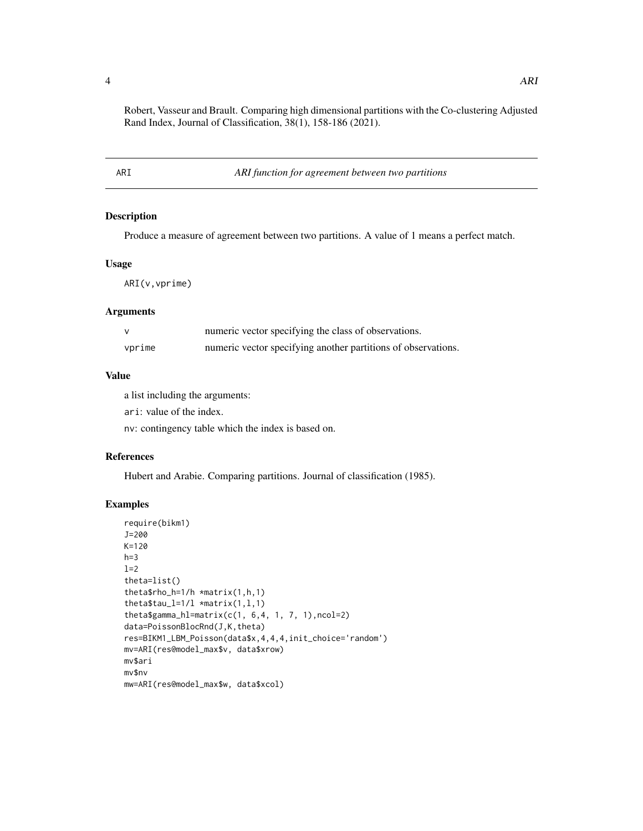<span id="page-3-0"></span>Robert, Vasseur and Brault. Comparing high dimensional partitions with the Co-clustering Adjusted Rand Index, Journal of Classification, 38(1), 158-186 (2021).

ARI *ARI function for agreement between two partitions*

#### Description

Produce a measure of agreement between two partitions. A value of 1 means a perfect match.

## Usage

ARI(v,vprime)

## Arguments

|        | numeric vector specifying the class of observations.          |
|--------|---------------------------------------------------------------|
| vprime | numeric vector specifying another partitions of observations. |

#### Value

a list including the arguments:

ari: value of the index.

nv: contingency table which the index is based on.

## References

Hubert and Arabie. Comparing partitions. Journal of classification (1985).

```
require(bikm1)
J=200
K=120
h=3l=2theta=list()
theta$rho_h=1/h *matrix(1,h,1)
theta$tau_l=1/l *matrix(1,1,1)theta$gamma_hl=matrix(c(1, 6, 4, 1, 7, 1), ncol=2)
data=PoissonBlocRnd(J,K,theta)
res=BIKM1_LBM_Poisson(data$x,4,4,4,init_choice='random')
mv=ARI(res@model_max$v, data$xrow)
mv$ari
mv$nv
mw=ARI(res@model_max$w, data$xcol)
```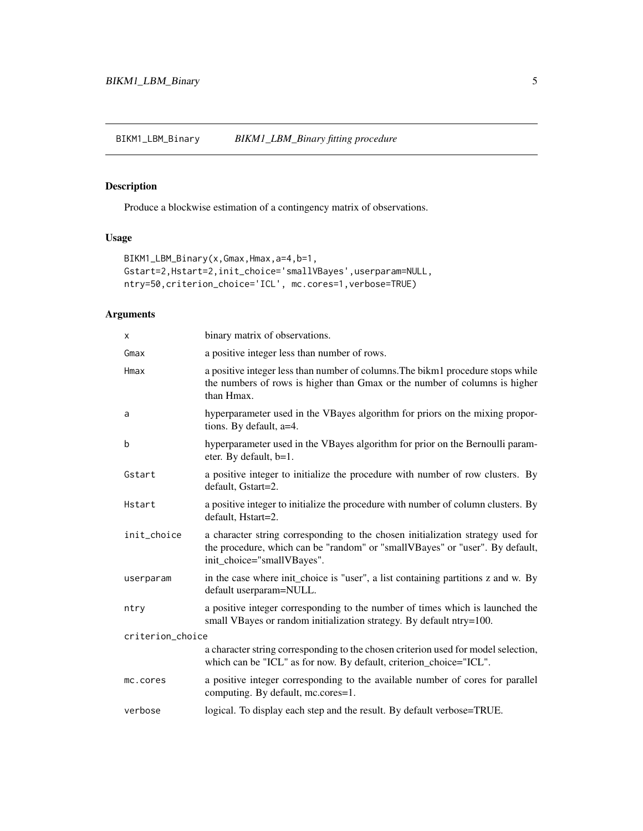<span id="page-4-1"></span><span id="page-4-0"></span>BIKM1\_LBM\_Binary *BIKM1\_LBM\_Binary fitting procedure*

# Description

Produce a blockwise estimation of a contingency matrix of observations.

## Usage

```
BIKM1_LBM_Binary(x,Gmax,Hmax,a=4,b=1,
Gstart=2,Hstart=2,init_choice='smallVBayes',userparam=NULL,
ntry=50,criterion_choice='ICL', mc.cores=1,verbose=TRUE)
```
## Arguments

| X                | binary matrix of observations.                                                                                                                                                                |
|------------------|-----------------------------------------------------------------------------------------------------------------------------------------------------------------------------------------------|
| Gmax             | a positive integer less than number of rows.                                                                                                                                                  |
| Hmax             | a positive integer less than number of columns. The bikm1 procedure stops while<br>the numbers of rows is higher than Gmax or the number of columns is higher<br>than Hmax.                   |
| a                | hyperparameter used in the VBayes algorithm for priors on the mixing propor-<br>tions. By default, a=4.                                                                                       |
| b                | hyperparameter used in the VBayes algorithm for prior on the Bernoulli param-<br>eter. By default, b=1.                                                                                       |
| Gstart           | a positive integer to initialize the procedure with number of row clusters. By<br>default, Gstart=2.                                                                                          |
| Hstart           | a positive integer to initialize the procedure with number of column clusters. By<br>default, Hstart=2.                                                                                       |
| init_choice      | a character string corresponding to the chosen initialization strategy used for<br>the procedure, which can be "random" or "smallVBayes" or "user". By default,<br>init_choice="smallVBayes". |
| userparam        | in the case where init_choice is "user", a list containing partitions z and w. By<br>default userparam=NULL.                                                                                  |
| ntry             | a positive integer corresponding to the number of times which is launched the<br>small VBayes or random initialization strategy. By default ntry=100.                                         |
| criterion_choice |                                                                                                                                                                                               |
|                  | a character string corresponding to the chosen criterion used for model selection,<br>which can be "ICL" as for now. By default, criterion_choice="ICL".                                      |
| mc.cores         | a positive integer corresponding to the available number of cores for parallel<br>computing. By default, mc.cores=1.                                                                          |
| verbose          | logical. To display each step and the result. By default verbose=TRUE.                                                                                                                        |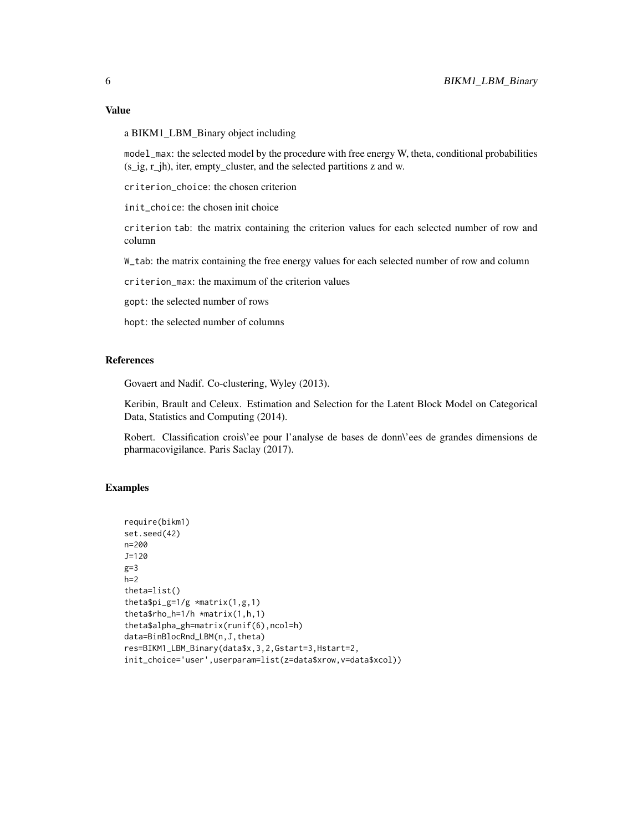## Value

a BIKM1\_LBM\_Binary object including

model\_max: the selected model by the procedure with free energy W, theta, conditional probabilities (s\_ig, r\_jh), iter, empty\_cluster, and the selected partitions z and w.

criterion\_choice: the chosen criterion

init\_choice: the chosen init choice

criterion tab: the matrix containing the criterion values for each selected number of row and column

W\_tab: the matrix containing the free energy values for each selected number of row and column

criterion\_max: the maximum of the criterion values

gopt: the selected number of rows

hopt: the selected number of columns

#### References

Govaert and Nadif. Co-clustering, Wyley (2013).

Keribin, Brault and Celeux. Estimation and Selection for the Latent Block Model on Categorical Data, Statistics and Computing (2014).

Robert. Classification crois\'ee pour l'analyse de bases de donn\'ees de grandes dimensions de pharmacovigilance. Paris Saclay (2017).

```
require(bikm1)
set.seed(42)
n=200
J=120
g=3h=2theta=list()
thetapi_g=1/g \times matrix(1,g,1)theta$rho_h=1/h *matrix(1,h,1)
theta$alpha_gh=matrix(runif(6),ncol=h)
data=BinBlocRnd_LBM(n,J,theta)
res=BIKM1_LBM_Binary(data$x,3,2,Gstart=3,Hstart=2,
init_choice='user',userparam=list(z=data$xrow,v=data$xcol))
```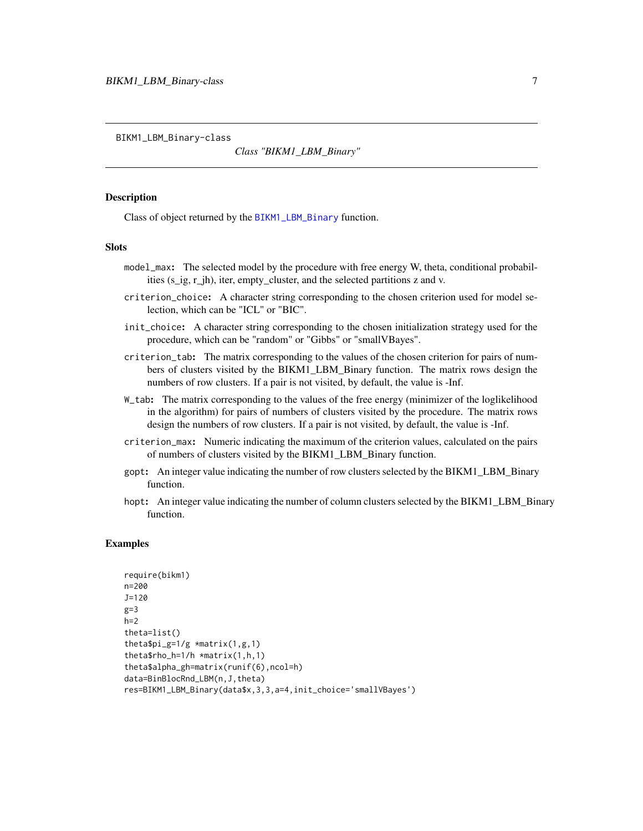<span id="page-6-1"></span><span id="page-6-0"></span>BIKM1\_LBM\_Binary-class

*Class "BIKM1\_LBM\_Binary"*

#### **Description**

Class of object returned by the [BIKM1\\_LBM\\_Binary](#page-4-1) function.

#### **Slots**

- model\_max: The selected model by the procedure with free energy W, theta, conditional probabilities (s\_ig, r\_jh), iter, empty\_cluster, and the selected partitions z and v.
- criterion\_choice: A character string corresponding to the chosen criterion used for model selection, which can be "ICL" or "BIC".
- init\_choice: A character string corresponding to the chosen initialization strategy used for the procedure, which can be "random" or "Gibbs" or "smallVBayes".
- criterion\_tab: The matrix corresponding to the values of the chosen criterion for pairs of numbers of clusters visited by the BIKM1\_LBM\_Binary function. The matrix rows design the numbers of row clusters. If a pair is not visited, by default, the value is -Inf.
- W\_tab: The matrix corresponding to the values of the free energy (minimizer of the loglikelihood in the algorithm) for pairs of numbers of clusters visited by the procedure. The matrix rows design the numbers of row clusters. If a pair is not visited, by default, the value is -Inf.
- criterion\_max: Numeric indicating the maximum of the criterion values, calculated on the pairs of numbers of clusters visited by the BIKM1\_LBM\_Binary function.
- gopt: An integer value indicating the number of row clusters selected by the BIKM1\_LBM\_Binary function.
- hopt: An integer value indicating the number of column clusters selected by the BIKM1\_LBM\_Binary function.

```
require(bikm1)
n=200
J=120
g=3h=2theta=list()
thetapi_g=1/g \times matrix(1,g,1)theta$rho_h=1/h *matrix(1,h,1)
theta$alpha_gh=matrix(runif(6),ncol=h)
data=BinBlocRnd_LBM(n,J,theta)
res=BIKM1_LBM_Binary(data$x,3,3,a=4,init_choice='smallVBayes')
```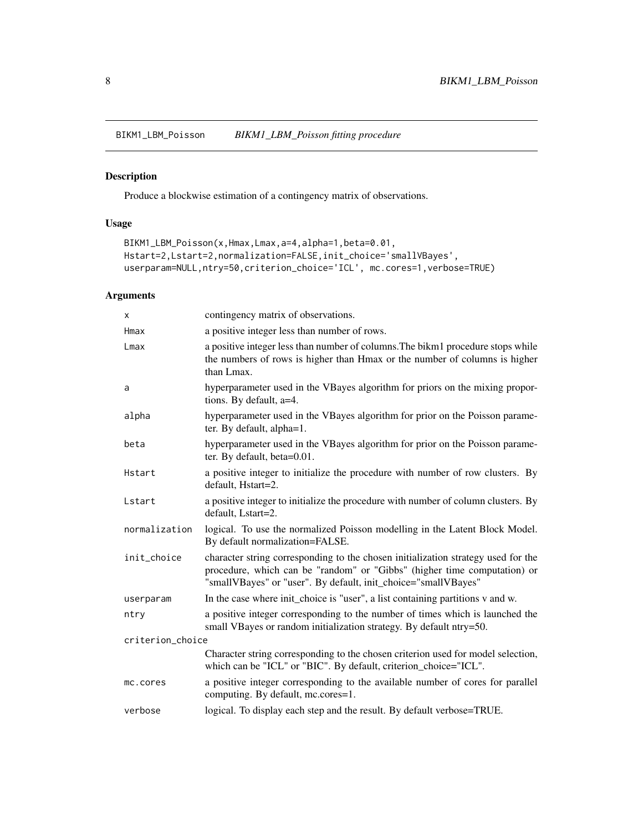<span id="page-7-1"></span><span id="page-7-0"></span>BIKM1\_LBM\_Poisson *BIKM1\_LBM\_Poisson fitting procedure*

## Description

Produce a blockwise estimation of a contingency matrix of observations.

## Usage

```
BIKM1_LBM_Poisson(x,Hmax,Lmax,a=4,alpha=1,beta=0.01,
Hstart=2,Lstart=2,normalization=FALSE,init_choice='smallVBayes',
userparam=NULL,ntry=50,criterion_choice='ICL', mc.cores=1,verbose=TRUE)
```
## Arguments

| X                | contingency matrix of observations.                                                                                                                                                                                             |
|------------------|---------------------------------------------------------------------------------------------------------------------------------------------------------------------------------------------------------------------------------|
| Hmax             | a positive integer less than number of rows.                                                                                                                                                                                    |
| $L$ max          | a positive integer less than number of columns. The bikm1 procedure stops while<br>the numbers of rows is higher than Hmax or the number of columns is higher<br>than Lmax.                                                     |
| a                | hyperparameter used in the VBayes algorithm for priors on the mixing propor-<br>tions. By default, a=4.                                                                                                                         |
| alpha            | hyperparameter used in the VBayes algorithm for prior on the Poisson parame-<br>ter. By default, alpha=1.                                                                                                                       |
| beta             | hyperparameter used in the VBayes algorithm for prior on the Poisson parame-<br>ter. By default, beta=0.01.                                                                                                                     |
| Hstart           | a positive integer to initialize the procedure with number of row clusters. By<br>default, Hstart=2.                                                                                                                            |
| Lstart           | a positive integer to initialize the procedure with number of column clusters. By<br>default, Lstart=2.                                                                                                                         |
| normalization    | logical. To use the normalized Poisson modelling in the Latent Block Model.<br>By default normalization=FALSE.                                                                                                                  |
| init_choice      | character string corresponding to the chosen initialization strategy used for the<br>procedure, which can be "random" or "Gibbs" (higher time computation) or<br>"smallVBayes" or "user". By default, init_choice="smallVBayes" |
| userparam        | In the case where init_choice is "user", a list containing partitions v and w.                                                                                                                                                  |
| ntry             | a positive integer corresponding to the number of times which is launched the<br>small VBayes or random initialization strategy. By default ntry=50.                                                                            |
| criterion_choice |                                                                                                                                                                                                                                 |
|                  | Character string corresponding to the chosen criterion used for model selection,<br>which can be "ICL" or "BIC". By default, criterion_choice="ICL".                                                                            |
| mc.cores         | a positive integer corresponding to the available number of cores for parallel<br>computing. By default, mc.cores=1.                                                                                                            |
| verbose          | logical. To display each step and the result. By default verbose=TRUE.                                                                                                                                                          |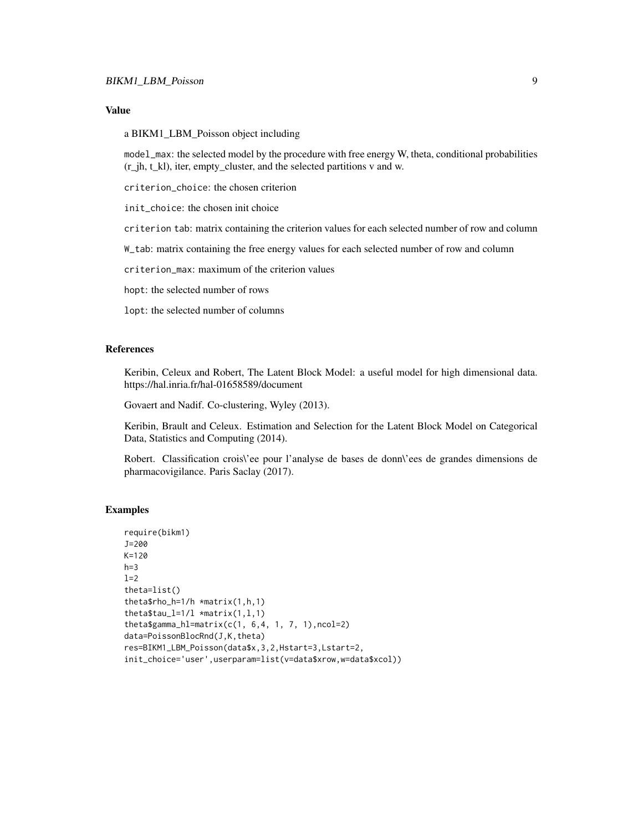#### Value

a BIKM1\_LBM\_Poisson object including

model\_max: the selected model by the procedure with free energy W, theta, conditional probabilities (r\_jh, t\_kl), iter, empty\_cluster, and the selected partitions v and w.

criterion\_choice: the chosen criterion

init\_choice: the chosen init choice

criterion tab: matrix containing the criterion values for each selected number of row and column

W\_tab: matrix containing the free energy values for each selected number of row and column

criterion\_max: maximum of the criterion values

hopt: the selected number of rows

lopt: the selected number of columns

#### References

Keribin, Celeux and Robert, The Latent Block Model: a useful model for high dimensional data. https://hal.inria.fr/hal-01658589/document

Govaert and Nadif. Co-clustering, Wyley (2013).

Keribin, Brault and Celeux. Estimation and Selection for the Latent Block Model on Categorical Data, Statistics and Computing (2014).

Robert. Classification crois\'ee pour l'analyse de bases de donn\'ees de grandes dimensions de pharmacovigilance. Paris Saclay (2017).

```
require(bikm1)
J=200
K=120
h=31=2theta=list()
theta$rho_h=1/h *matrix(1,h,1)
theta$tau_l=1/1 *matrix(1,1,1)
thetagamma_hl=matrix(c(1, 6,4, 1, 7, 1), ncol=2)
data=PoissonBlocRnd(J,K,theta)
res=BIKM1_LBM_Poisson(data$x,3,2,Hstart=3,Lstart=2,
init_choice='user',userparam=list(v=data$xrow,w=data$xcol))
```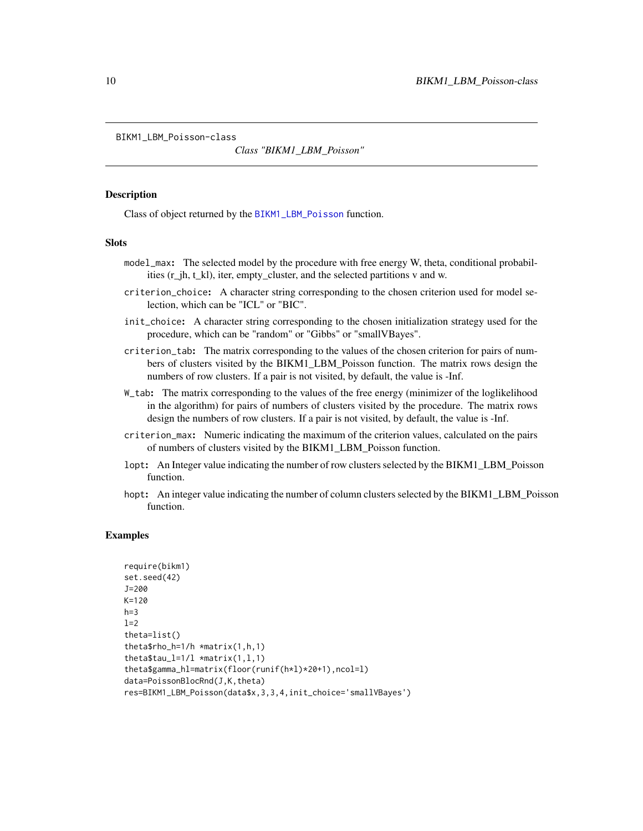<span id="page-9-1"></span><span id="page-9-0"></span>BIKM1\_LBM\_Poisson-class

*Class "BIKM1\_LBM\_Poisson"*

#### **Description**

Class of object returned by the [BIKM1\\_LBM\\_Poisson](#page-7-1) function.

#### Slots

- model\_max: The selected model by the procedure with free energy W, theta, conditional probabilities (r\_jh, t\_kl), iter, empty\_cluster, and the selected partitions v and w.
- criterion\_choice: A character string corresponding to the chosen criterion used for model selection, which can be "ICL" or "BIC".
- init\_choice: A character string corresponding to the chosen initialization strategy used for the procedure, which can be "random" or "Gibbs" or "smallVBayes".
- criterion\_tab: The matrix corresponding to the values of the chosen criterion for pairs of numbers of clusters visited by the BIKM1\_LBM\_Poisson function. The matrix rows design the numbers of row clusters. If a pair is not visited, by default, the value is -Inf.
- W\_tab: The matrix corresponding to the values of the free energy (minimizer of the loglikelihood in the algorithm) for pairs of numbers of clusters visited by the procedure. The matrix rows design the numbers of row clusters. If a pair is not visited, by default, the value is -Inf.
- criterion\_max: Numeric indicating the maximum of the criterion values, calculated on the pairs of numbers of clusters visited by the BIKM1\_LBM\_Poisson function.
- lopt: An Integer value indicating the number of row clusters selected by the BIKM1\_LBM\_Poisson function.
- hopt: An integer value indicating the number of column clusters selected by the BIKM1\_LBM\_Poisson function.

```
require(bikm1)
set.seed(42)
J=200
K=120
h=3l=2theta=list()
theta$rho_h=1/h *matrix(1,h,1)
theta$tau_l=1/l *matrix(1,1,1)theta$gamma_hl=matrix(floor(runif(h*l)*20+1),ncol=l)
data=PoissonBlocRnd(J,K,theta)
res=BIKM1_LBM_Poisson(data$x,3,3,4,init_choice='smallVBayes')
```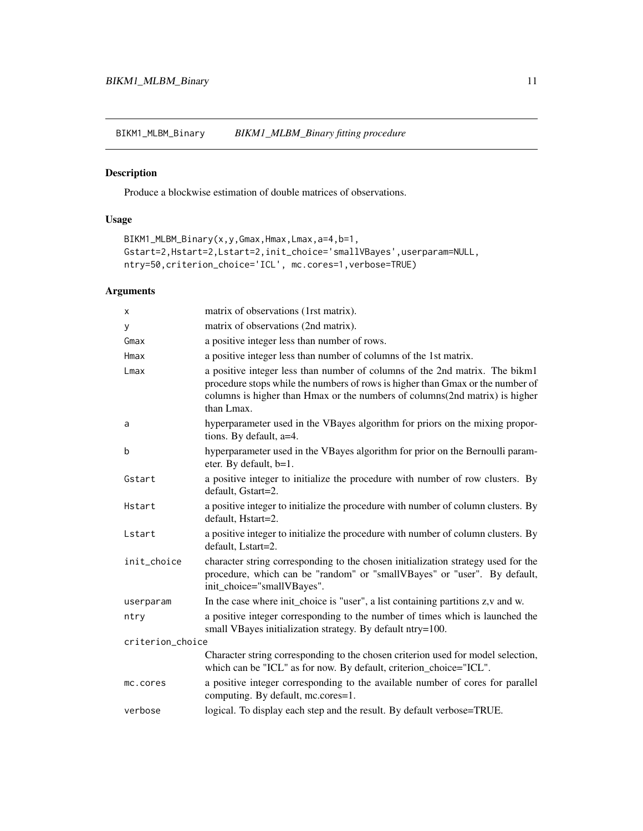<span id="page-10-1"></span><span id="page-10-0"></span>BIKM1\_MLBM\_Binary *BIKM1\_MLBM\_Binary fitting procedure*

# Description

Produce a blockwise estimation of double matrices of observations.

# Usage

```
BIKM1_MLBM_Binary(x,y,Gmax,Hmax,Lmax,a=4,b=1,
Gstart=2,Hstart=2,Lstart=2,init_choice='smallVBayes',userparam=NULL,
ntry=50,criterion_choice='ICL', mc.cores=1,verbose=TRUE)
```
## Arguments

| x                | matrix of observations (1rst matrix).                                                                                                                                                                                                                      |  |
|------------------|------------------------------------------------------------------------------------------------------------------------------------------------------------------------------------------------------------------------------------------------------------|--|
| У                | matrix of observations (2nd matrix).                                                                                                                                                                                                                       |  |
| Gmax             | a positive integer less than number of rows.                                                                                                                                                                                                               |  |
| Hmax             | a positive integer less than number of columns of the 1st matrix.                                                                                                                                                                                          |  |
| Lmax             | a positive integer less than number of columns of the 2nd matrix. The bikm1<br>procedure stops while the numbers of rows is higher than Gmax or the number of<br>columns is higher than Hmax or the numbers of columns(2nd matrix) is higher<br>than Lmax. |  |
| a                | hyperparameter used in the VBayes algorithm for priors on the mixing propor-<br>tions. By default, a=4.                                                                                                                                                    |  |
| b                | hyperparameter used in the VBayes algorithm for prior on the Bernoulli param-<br>eter. By default, b=1.                                                                                                                                                    |  |
| Gstart           | a positive integer to initialize the procedure with number of row clusters. By<br>default, Gstart=2.                                                                                                                                                       |  |
| Hstart           | a positive integer to initialize the procedure with number of column clusters. By<br>default, Hstart=2.                                                                                                                                                    |  |
| Lstart           | a positive integer to initialize the procedure with number of column clusters. By<br>default, Lstart=2.                                                                                                                                                    |  |
| init_choice      | character string corresponding to the chosen initialization strategy used for the<br>procedure, which can be "random" or "smallVBayes" or "user". By default,<br>init_choice="smallVBayes".                                                                |  |
| userparam        | In the case where init_choice is "user", a list containing partitions z, v and w.                                                                                                                                                                          |  |
| ntry             | a positive integer corresponding to the number of times which is launched the<br>small VBayes initialization strategy. By default ntry=100.                                                                                                                |  |
| criterion_choice |                                                                                                                                                                                                                                                            |  |
|                  | Character string corresponding to the chosen criterion used for model selection,<br>which can be "ICL" as for now. By default, criterion_choice="ICL".                                                                                                     |  |
| mc.cores         | a positive integer corresponding to the available number of cores for parallel<br>computing. By default, mc.cores=1.                                                                                                                                       |  |
| verbose          | logical. To display each step and the result. By default verbose=TRUE.                                                                                                                                                                                     |  |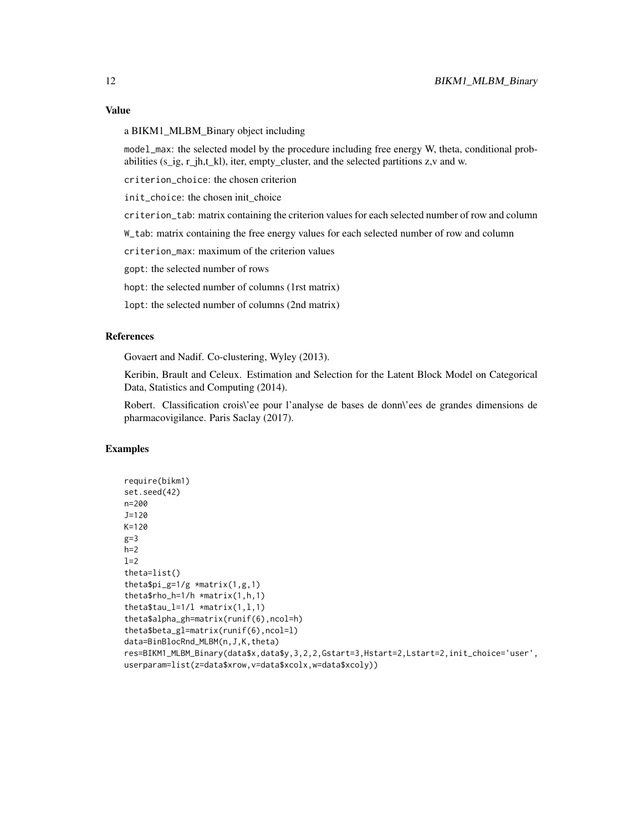## Value

a BIKM1\_MLBM\_Binary object including

model\_max: the selected model by the procedure including free energy W, theta, conditional probabilities (s\_ig, r\_jh,t\_kl), iter, empty\_cluster, and the selected partitions z,v and w.

criterion\_choice: the chosen criterion

init\_choice: the chosen init\_choice

criterion\_tab: matrix containing the criterion values for each selected number of row and column

W\_tab: matrix containing the free energy values for each selected number of row and column

criterion\_max: maximum of the criterion values

gopt: the selected number of rows

hopt: the selected number of columns (1rst matrix)

lopt: the selected number of columns (2nd matrix)

## References

Govaert and Nadif. Co-clustering, Wyley (2013).

Keribin, Brault and Celeux. Estimation and Selection for the Latent Block Model on Categorical Data, Statistics and Computing (2014).

Robert. Classification crois\'ee pour l'analyse de bases de donn\'ees de grandes dimensions de pharmacovigilance. Paris Saclay (2017).

```
require(bikm1)
set.seed(42)
n=200
J=120
K=120
g=3
h=21=2theta=list()
thetapi_g=1/g \times matrix(1,g,1)theta$rho_h=1/h *matrix(1,h,1)
theta$tau_l=1/1 *matrix(1,1,1)
theta$alpha_gh=matrix(runif(6),ncol=h)
theta$beta_gl=matrix(runif(6),ncol=l)
data=BinBlocRnd_MLBM(n,J,K,theta)
res=BIKM1_MLBM_Binary(data$x,data$y,3,2,2,Gstart=3,Hstart=2,Lstart=2,init_choice='user',
userparam=list(z=data$xrow,v=data$xcolx,w=data$xcoly))
```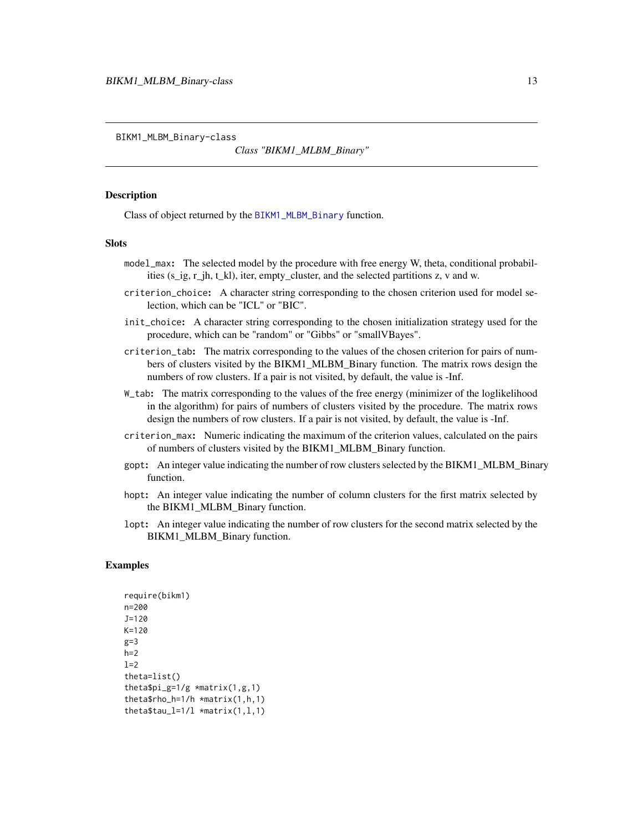<span id="page-12-1"></span><span id="page-12-0"></span>BIKM1\_MLBM\_Binary-class

*Class "BIKM1\_MLBM\_Binary"*

#### Description

Class of object returned by the [BIKM1\\_MLBM\\_Binary](#page-10-1) function.

#### Slots

- model\_max: The selected model by the procedure with free energy W, theta, conditional probabilities (s\_ig, r\_jh, t\_kl), iter, empty\_cluster, and the selected partitions z, v and w.
- criterion\_choice: A character string corresponding to the chosen criterion used for model selection, which can be "ICL" or "BIC".
- init\_choice: A character string corresponding to the chosen initialization strategy used for the procedure, which can be "random" or "Gibbs" or "smallVBayes".
- criterion\_tab: The matrix corresponding to the values of the chosen criterion for pairs of numbers of clusters visited by the BIKM1\_MLBM\_Binary function. The matrix rows design the numbers of row clusters. If a pair is not visited, by default, the value is -Inf.
- W\_tab: The matrix corresponding to the values of the free energy (minimizer of the loglikelihood in the algorithm) for pairs of numbers of clusters visited by the procedure. The matrix rows design the numbers of row clusters. If a pair is not visited, by default, the value is -Inf.
- criterion\_max: Numeric indicating the maximum of the criterion values, calculated on the pairs of numbers of clusters visited by the BIKM1\_MLBM\_Binary function.
- gopt: An integer value indicating the number of row clusters selected by the BIKM1\_MLBM\_Binary function.
- hopt: An integer value indicating the number of column clusters for the first matrix selected by the BIKM1\_MLBM\_Binary function.
- lopt: An integer value indicating the number of row clusters for the second matrix selected by the BIKM1\_MLBM\_Binary function.

```
require(bikm1)
n=200
J=120
K=120
g=3h=2l=2theta=list()
thetapi_g=1/g \times matrix(1,g,1)theta$rho_h=1/h *matrix(1,h,1)
theta$tau_l=1/l *matrix(1,1,1)
```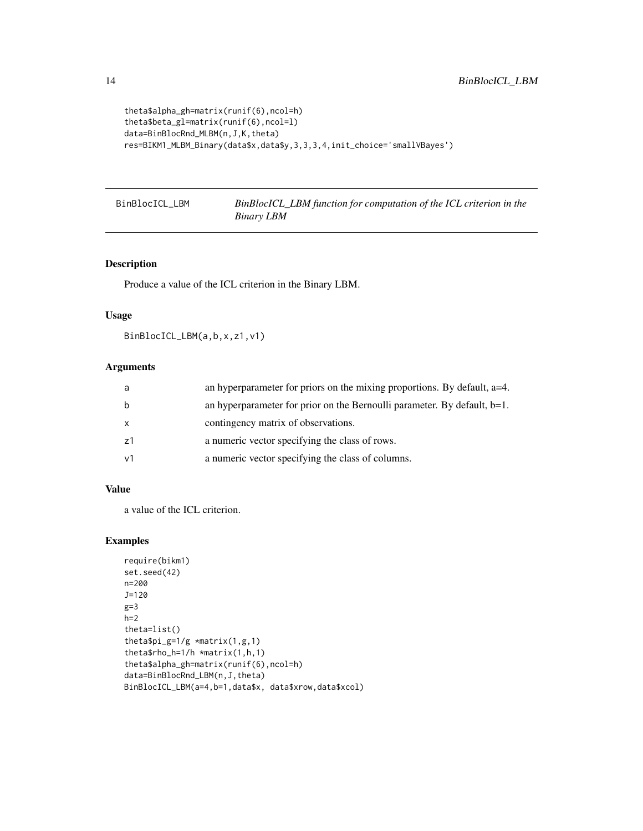```
theta$alpha_gh=matrix(runif(6),ncol=h)
theta$beta_gl=matrix(runif(6),ncol=l)
data=BinBlocRnd_MLBM(n,J,K,theta)
res=BIKM1_MLBM_Binary(data$x,data$y,3,3,3,4,init_choice='smallVBayes')
```
BinBlocICL\_LBM *BinBlocICL\_LBM function for computation of the ICL criterion in the Binary LBM*

## Description

Produce a value of the ICL criterion in the Binary LBM.

#### Usage

```
BinBlocICL_LBM(a,b,x,z1,v1)
```
## Arguments

| a  | an hyperparameter for priors on the mixing proportions. By default, a=4.    |
|----|-----------------------------------------------------------------------------|
|    | an hyperparameter for prior on the Bernoulli parameter. By default, $b=1$ . |
|    | contingency matrix of observations.                                         |
| 71 | a numeric vector specifying the class of rows.                              |
|    | a numeric vector specifying the class of columns.                           |

## Value

a value of the ICL criterion.

```
require(bikm1)
set.seed(42)
n=200
J=120
g=3h=2theta=list()
theta$pi_g=1/g *matrix(1,g,1)
theta$rho_h=1/h *matrix(1,h,1)
theta$alpha_gh=matrix(runif(6),ncol=h)
data=BinBlocRnd_LBM(n,J,theta)
BinBlocICL_LBM(a=4,b=1,data$x, data$xrow,data$xcol)
```
<span id="page-13-0"></span>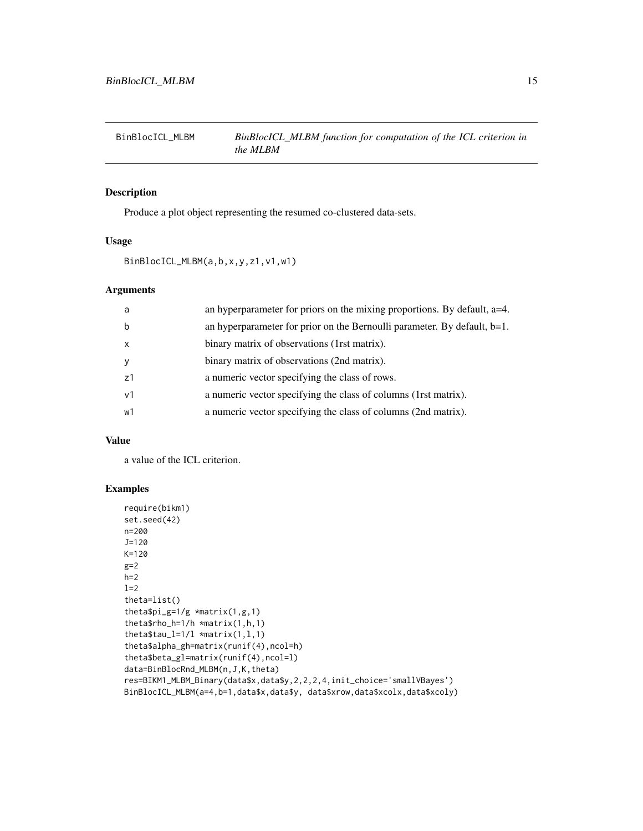<span id="page-14-0"></span>

Produce a plot object representing the resumed co-clustered data-sets.

## Usage

```
BinBlocICL_MLBM(a,b,x,y,z1,v1,w1)
```
## Arguments

| a              | an hyperparameter for priors on the mixing proportions. By default, $a=4$ . |
|----------------|-----------------------------------------------------------------------------|
| b              | an hyperparameter for prior on the Bernoulli parameter. By default, $b=1$ . |
| $\mathsf{x}$   | binary matrix of observations (1rst matrix).                                |
| <b>V</b>       | binary matrix of observations (2nd matrix).                                 |
| z1             | a numeric vector specifying the class of rows.                              |
| v <sub>1</sub> | a numeric vector specifying the class of columns (1rst matrix).             |
| w1             | a numeric vector specifying the class of columns (2nd matrix).              |
|                |                                                                             |

## Value

a value of the ICL criterion.

```
require(bikm1)
set.seed(42)
n=200
J=120
K=120
g=2
h=2l=2theta=list()
theta$pi_g=1/g *matrix(1,g,1)
theta$rho_h=1/h *matrix(1,h,1)
theta$tau_l=1/1 *matrix(1,1,1)
theta$alpha_gh=matrix(runif(4),ncol=h)
theta$beta_gl=matrix(runif(4),ncol=l)
data=BinBlocRnd_MLBM(n,J,K,theta)
res=BIKM1_MLBM_Binary(data$x,data$y,2,2,2,4,init_choice='smallVBayes')
BinBlocICL_MLBM(a=4,b=1,data$x,data$y, data$xrow,data$xcolx,data$xcoly)
```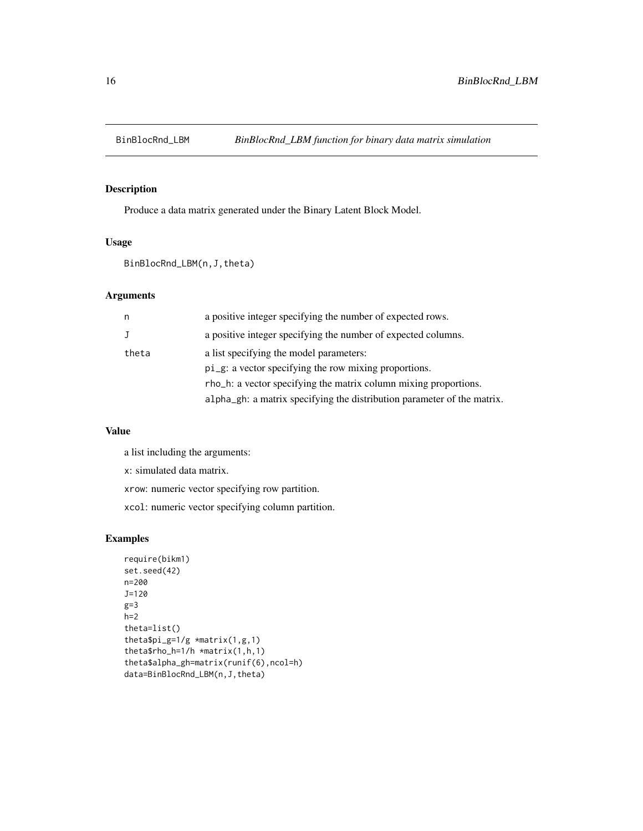<span id="page-15-0"></span>

Produce a data matrix generated under the Binary Latent Block Model.

## Usage

BinBlocRnd\_LBM(n,J,theta)

#### Arguments

| n     | a positive integer specifying the number of expected rows.              |
|-------|-------------------------------------------------------------------------|
| J     | a positive integer specifying the number of expected columns.           |
| theta | a list specifying the model parameters:                                 |
|       | pi_g: a vector specifying the row mixing proportions.                   |
|       | rho_h: a vector specifying the matrix column mixing proportions.        |
|       | alpha_gh: a matrix specifying the distribution parameter of the matrix. |

## Value

a list including the arguments:

x: simulated data matrix.

xrow: numeric vector specifying row partition.

xcol: numeric vector specifying column partition.

```
require(bikm1)
set.seed(42)
n=200
J=120
g=3
h=2theta=list()
theta$pi_g=1/g *matrix(1,g,1)
theta$rho_h=1/h *matrix(1,h,1)
theta$alpha_gh=matrix(runif(6),ncol=h)
data=BinBlocRnd_LBM(n,J,theta)
```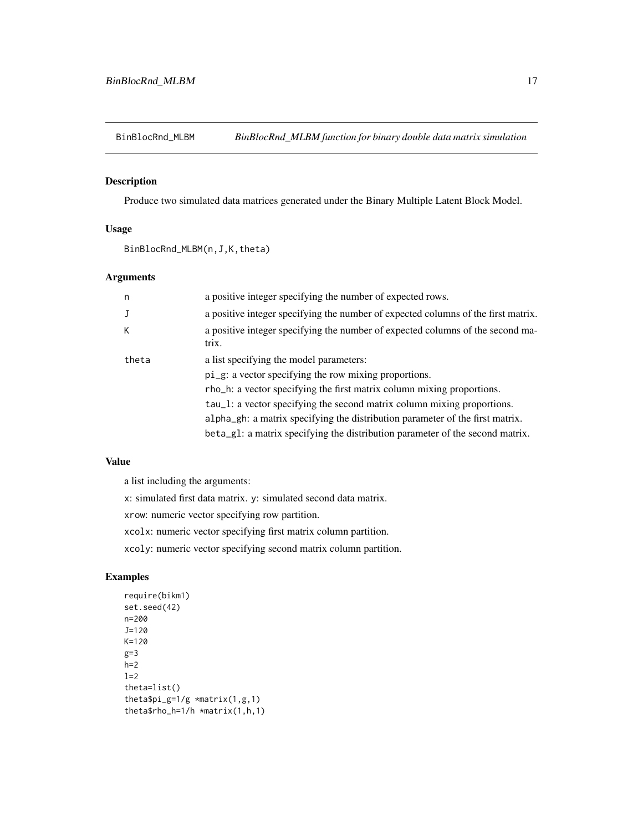<span id="page-16-0"></span>

Produce two simulated data matrices generated under the Binary Multiple Latent Block Model.

## Usage

BinBlocRnd\_MLBM(n,J,K,theta)

# Arguments

| n     | a positive integer specifying the number of expected rows.                              |
|-------|-----------------------------------------------------------------------------------------|
| J     | a positive integer specifying the number of expected columns of the first matrix.       |
| K.    | a positive integer specifying the number of expected columns of the second ma-<br>trix. |
| theta | a list specifying the model parameters:                                                 |
|       | pi_g: a vector specifying the row mixing proportions.                                   |
|       | rho_h: a vector specifying the first matrix column mixing proportions.                  |
|       | tau_1: a vector specifying the second matrix column mixing proportions.                 |
|       | alpha_gh: a matrix specifying the distribution parameter of the first matrix.           |
|       | beta_gl: a matrix specifying the distribution parameter of the second matrix.           |

# Value

a list including the arguments:

x: simulated first data matrix. y: simulated second data matrix.

xrow: numeric vector specifying row partition.

xcolx: numeric vector specifying first matrix column partition.

xcoly: numeric vector specifying second matrix column partition.

```
require(bikm1)
set.seed(42)
n=200
J=120
K=120
g=3h=2l=2theta=list()
theta$pi_g=1/g *matrix(1,g,1)
theta$rho_h=1/h *matrix(1,h,1)
```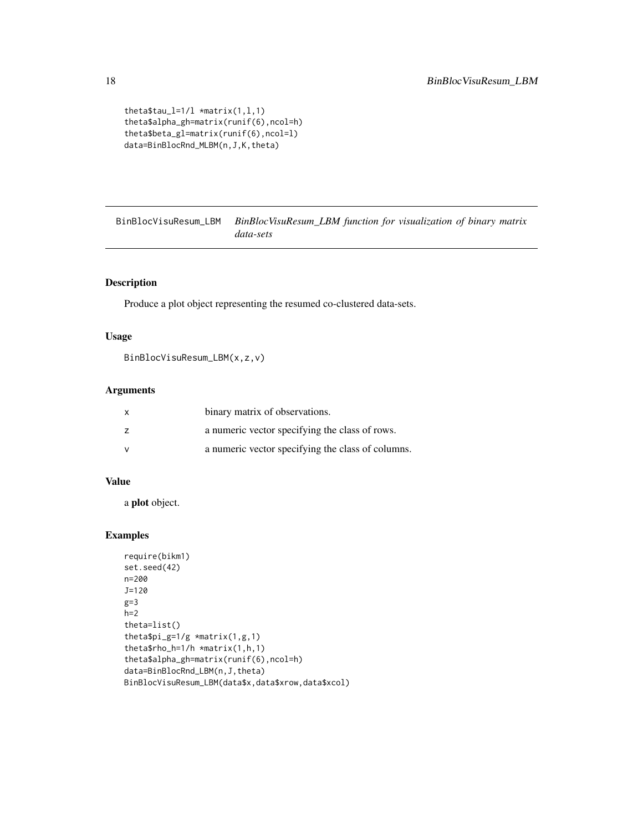```
theta$tau_l=1/1 *matrix(1,1,1)
theta$alpha_gh=matrix(runif(6),ncol=h)
theta$beta_gl=matrix(runif(6),ncol=l)
data=BinBlocRnd_MLBM(n,J,K,theta)
```
BinBlocVisuResum\_LBM *BinBlocVisuResum\_LBM function for visualization of binary matrix data-sets*

## Description

Produce a plot object representing the resumed co-clustered data-sets.

## Usage

```
BinBlocVisuResum_LBM(x,z,v)
```
#### Arguments

| $\mathsf{x}$ | binary matrix of observations.                    |
|--------------|---------------------------------------------------|
|              | a numeric vector specifying the class of rows.    |
| v            | a numeric vector specifying the class of columns. |

## Value

a plot object.

```
require(bikm1)
set.seed(42)
n=200
J=120
g=3
h=2theta=list()
theta$pi_g=1/g *matrix(1,g,1)
theta$rho_h=1/h *matrix(1,h,1)
theta$alpha_gh=matrix(runif(6),ncol=h)
data=BinBlocRnd_LBM(n,J,theta)
BinBlocVisuResum_LBM(data$x,data$xrow,data$xcol)
```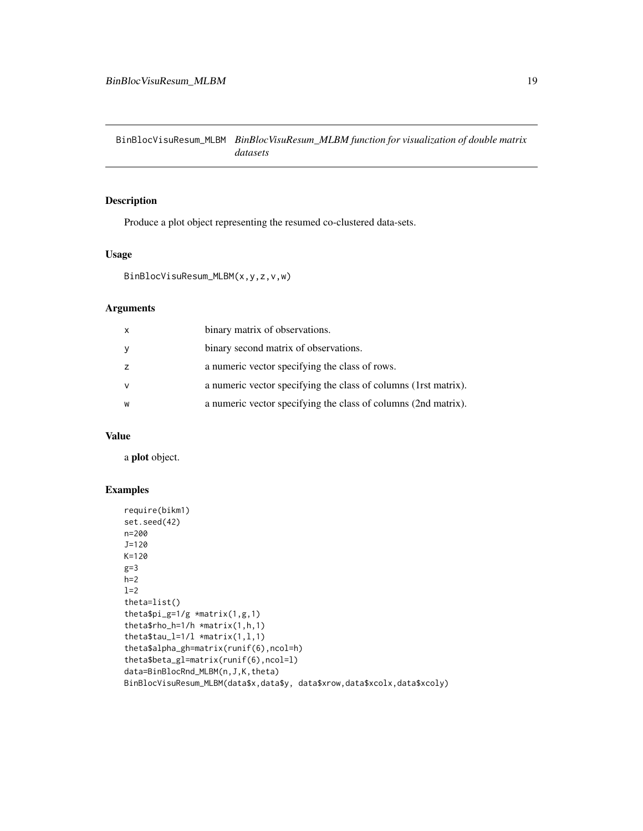<span id="page-18-0"></span>BinBlocVisuResum\_MLBM *BinBlocVisuResum\_MLBM function for visualization of double matrix datasets*

## Description

Produce a plot object representing the resumed co-clustered data-sets.

## Usage

```
BinBlocVisuResum_MLBM(x,y,z,v,w)
```
## Arguments

| $\times$ | binary matrix of observations.                                   |
|----------|------------------------------------------------------------------|
| y        | binary second matrix of observations.                            |
| z        | a numeric vector specifying the class of rows.                   |
| <b>V</b> | a numeric vector specifying the class of columns (1 rst matrix). |
| W        | a numeric vector specifying the class of columns (2nd matrix).   |

## Value

a plot object.

```
require(bikm1)
set.seed(42)
n=200
J=120
K=120
g=3h=2l=2theta=list()
thetapi_g=1/g \times matrix(1,g,1)theta$rho_h=1/h *matrix(1,h,1)
theta$tau_l=1/1 *matrix(1,1,1)
theta$alpha_gh=matrix(runif(6),ncol=h)
theta$beta_gl=matrix(runif(6),ncol=l)
data=BinBlocRnd_MLBM(n,J,K,theta)
BinBlocVisuResum_MLBM(data$x,data$y, data$xrow,data$xcolx,data$xcoly)
```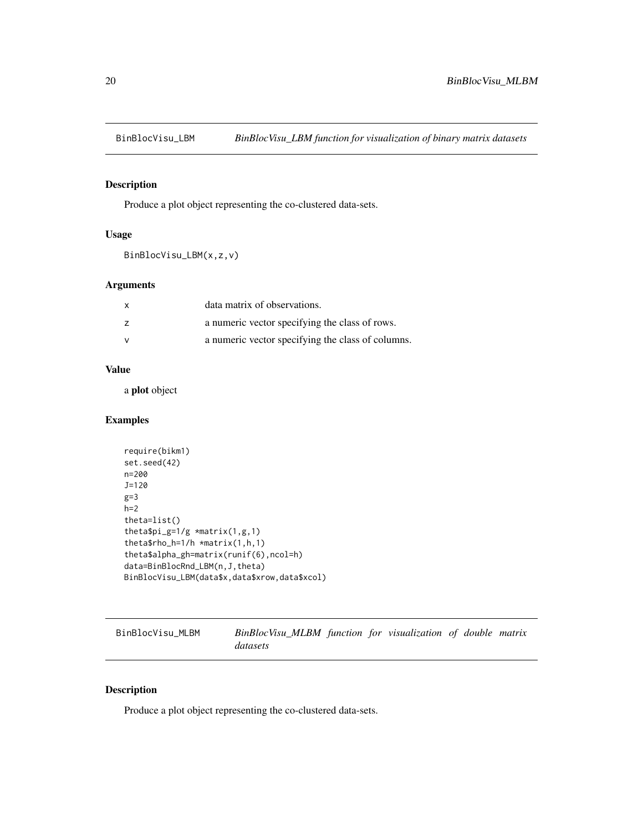<span id="page-19-0"></span>

Produce a plot object representing the co-clustered data-sets.

## Usage

BinBlocVisu\_LBM(x,z,v)

# Arguments

| data matrix of observations.                      |
|---------------------------------------------------|
| a numeric vector specifying the class of rows.    |
| a numeric vector specifying the class of columns. |

# Value

a plot object

# Examples

```
require(bikm1)
set.seed(42)
n=200
J=120
g=3
h=2theta=list()
thetapi_g=1/g \star matrix(1,g,1)theta$rho_h=1/h *matrix(1,h,1)
theta$alpha_gh=matrix(runif(6),ncol=h)
data=BinBlocRnd_LBM(n,J,theta)
BinBlocVisu_LBM(data$x,data$xrow,data$xcol)
```
BinBlocVisu\_MLBM *BinBlocVisu\_MLBM function for visualization of double matrix datasets*

## Description

Produce a plot object representing the co-clustered data-sets.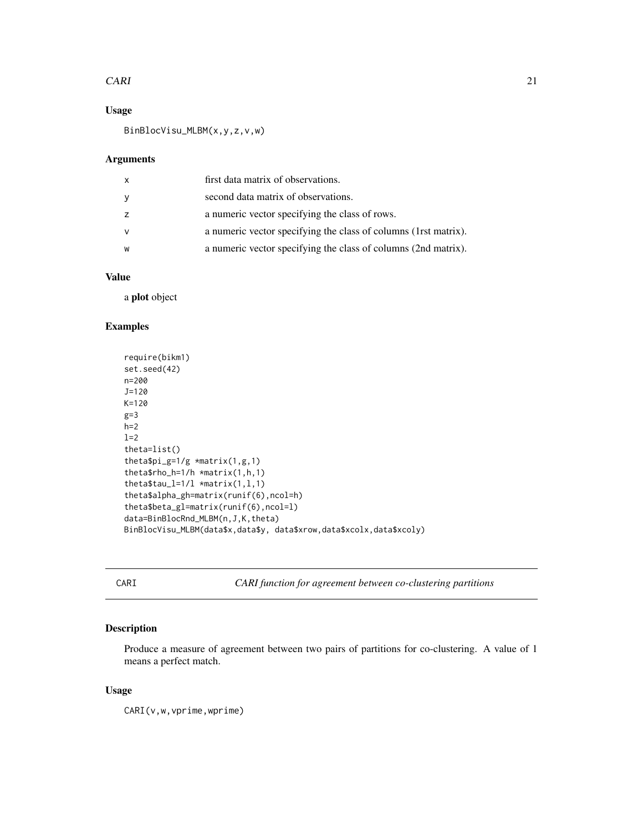#### <span id="page-20-0"></span> $CARI$  21

## Usage

BinBlocVisu\_MLBM(x,y,z,v,w)

#### Arguments

| X   | first data matrix of observations.                               |
|-----|------------------------------------------------------------------|
| - y | second data matrix of observations.                              |
|     | a numeric vector specifying the class of rows.                   |
|     | a numeric vector specifying the class of columns (1 rst matrix). |
| W   | a numeric vector specifying the class of columns (2nd matrix).   |

# Value

a plot object

#### Examples

```
require(bikm1)
set.seed(42)
n=200
J=120
K=120
g=3
h=2l=2theta=list()
theta$pi_g=1/g *matrix(1,g,1)
theta$rho_h=1/h *matrix(1,h,1)
theta$tau_l=1/1 *matrix(1,1,1)
theta$alpha_gh=matrix(runif(6),ncol=h)
theta$beta_gl=matrix(runif(6),ncol=l)
data=BinBlocRnd_MLBM(n,J,K,theta)
BinBlocVisu_MLBM(data$x,data$y, data$xrow,data$xcolx,data$xcoly)
```
CARI *CARI function for agreement between co-clustering partitions*

## Description

Produce a measure of agreement between two pairs of partitions for co-clustering. A value of 1 means a perfect match.

#### Usage

CARI(v,w,vprime,wprime)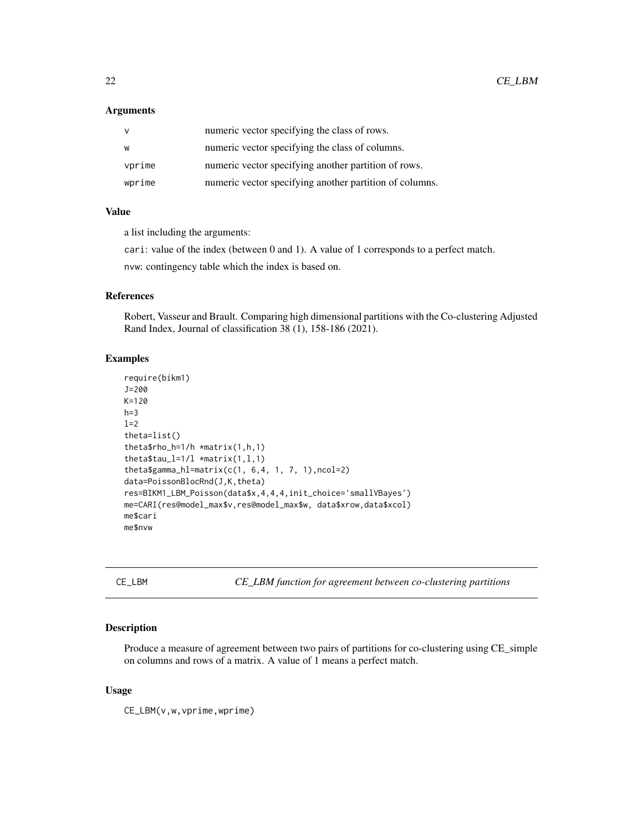#### <span id="page-21-0"></span>Arguments

|        | numeric vector specifying the class of rows.            |
|--------|---------------------------------------------------------|
| W      | numeric vector specifying the class of columns.         |
| vprime | numeric vector specifying another partition of rows.    |
| wprime | numeric vector specifying another partition of columns. |

#### Value

a list including the arguments:

cari: value of the index (between 0 and 1). A value of 1 corresponds to a perfect match.

nvw: contingency table which the index is based on.

#### References

Robert, Vasseur and Brault. Comparing high dimensional partitions with the Co-clustering Adjusted Rand Index, Journal of classification 38 (1), 158-186 (2021).

## Examples

```
require(bikm1)
J=200
K = 120h=3l=2theta=list()
theta$rho_h=1/h *matrix(1,h,1)
theta$tau_l=1/1 *matrix(1,1,1)
theta$gamma_hl=matrix(c(1, 6, 4, 1, 7, 1), ncol=2)
data=PoissonBlocRnd(J,K,theta)
res=BIKM1_LBM_Poisson(data$x,4,4,4,init_choice='smallVBayes')
me=CARI(res@model_max$v,res@model_max$w, data$xrow,data$xcol)
me$cari
me$nvw
```
CE\_LBM *CE\_LBM function for agreement between co-clustering partitions*

## Description

Produce a measure of agreement between two pairs of partitions for co-clustering using CE\_simple on columns and rows of a matrix. A value of 1 means a perfect match.

#### Usage

CE\_LBM(v,w,vprime,wprime)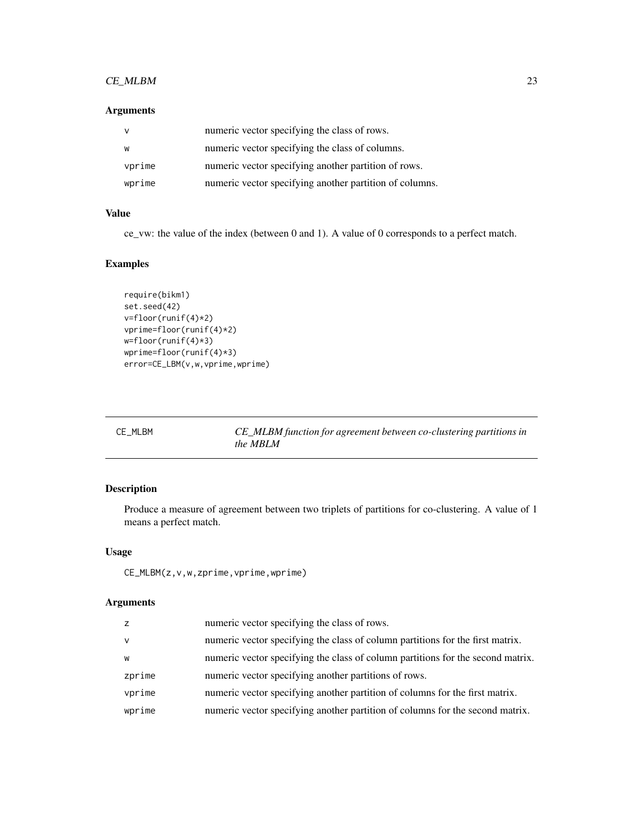## <span id="page-22-0"></span>CE\_MLBM 23

## Arguments

|        | numeric vector specifying the class of rows.            |
|--------|---------------------------------------------------------|
| W      | numeric vector specifying the class of columns.         |
| vprime | numeric vector specifying another partition of rows.    |
| wprime | numeric vector specifying another partition of columns. |

## Value

ce\_vw: the value of the index (between 0 and 1). A value of 0 corresponds to a perfect match.

#### Examples

```
require(bikm1)
set.seed(42)
v=floor(runif(4)*2)
vprime=floor(runif(4)*2)
w=floor(runif(4)*3)
wprime=floor(runif(4)*3)
error=CE_LBM(v,w,vprime,wprime)
```
CE\_MLBM *CE\_MLBM function for agreement between co-clustering partitions in the MBLM*

## Description

Produce a measure of agreement between two triplets of partitions for co-clustering. A value of 1 means a perfect match.

## Usage

CE\_MLBM(z,v,w,zprime,vprime,wprime)

## Arguments

| Z.     | numeric vector specifying the class of rows.                                    |
|--------|---------------------------------------------------------------------------------|
| v      | numeric vector specifying the class of column partitions for the first matrix.  |
| W      | numeric vector specifying the class of column partitions for the second matrix. |
| zprime | numeric vector specifying another partitions of rows.                           |
| vprime | numeric vector specifying another partition of columns for the first matrix.    |
| wprime | numeric vector specifying another partition of columns for the second matrix.   |
|        |                                                                                 |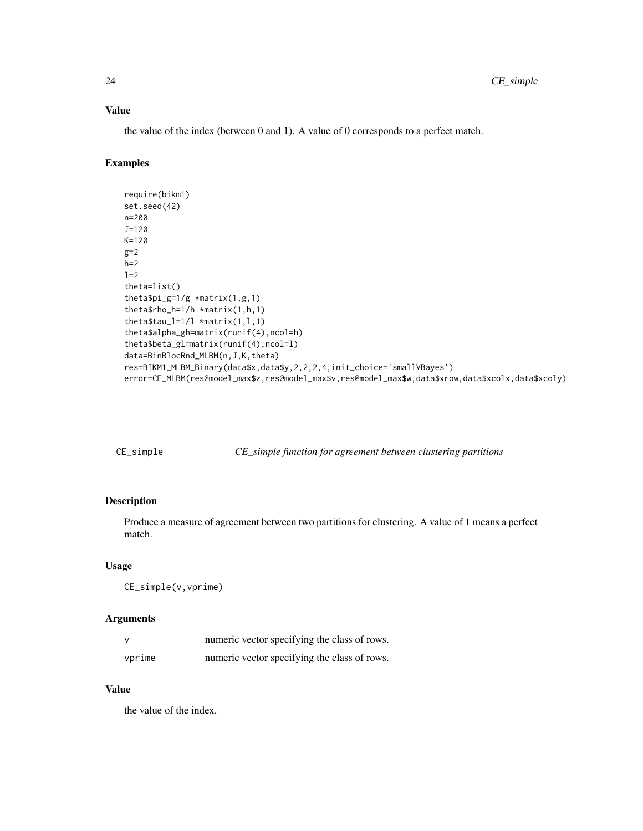# Value

the value of the index (between 0 and 1). A value of 0 corresponds to a perfect match.

# Examples

```
require(bikm1)
set.seed(42)
n=200
J=120
K=120
g=2h=2l=2theta=list()
theta$pi_g=1/g *matrix(1,g,1)
theta$rho_h=1/h *matrix(1,h,1)
theta$tau_l=1/l *matrix(1,1,1)theta$alpha_gh=matrix(runif(4),ncol=h)
theta$beta_gl=matrix(runif(4),ncol=l)
data=BinBlocRnd_MLBM(n,J,K,theta)
res=BIKM1_MLBM_Binary(data$x,data$y,2,2,2,4,init_choice='smallVBayes')
error=CE_MLBM(res@model_max$z,res@model_max$v,res@model_max$w,data$xrow,data$xcolx,data$xcoly)
```
CE\_simple *CE\_simple function for agreement between clustering partitions*

# Description

Produce a measure of agreement between two partitions for clustering. A value of 1 means a perfect match.

## Usage

CE\_simple(v,vprime)

## Arguments

|        | numeric vector specifying the class of rows. |
|--------|----------------------------------------------|
| vprime | numeric vector specifying the class of rows. |

#### Value

the value of the index.

<span id="page-23-0"></span>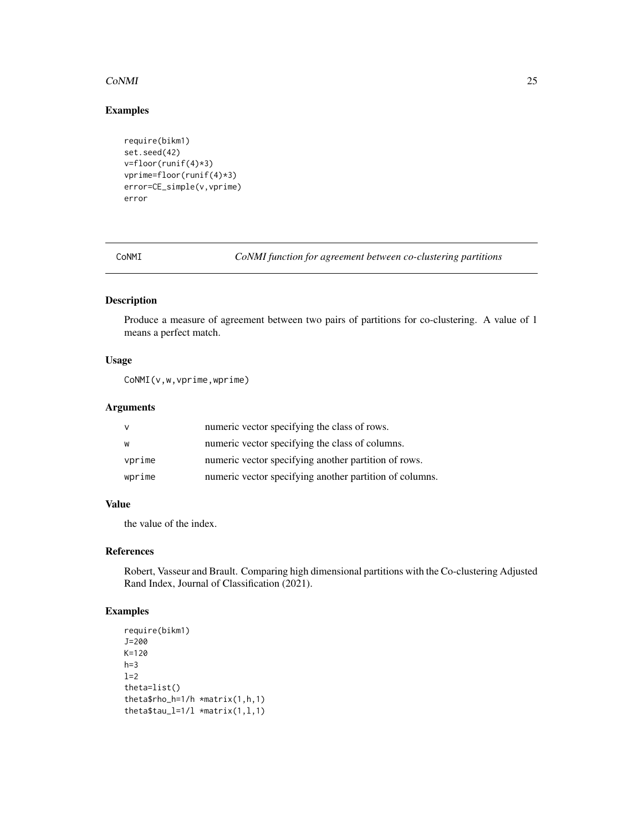## <span id="page-24-0"></span>CoNMI 25

# Examples

```
require(bikm1)
set.seed(42)
v = floor(runif(4)*3)vprime=floor(runif(4)*3)
error=CE_simple(v,vprime)
error
```
CoNMI *CoNMI function for agreement between co-clustering partitions*

# Description

Produce a measure of agreement between two pairs of partitions for co-clustering. A value of 1 means a perfect match.

## Usage

CoNMI(v,w,vprime,wprime)

## Arguments

| v      | numeric vector specifying the class of rows.            |
|--------|---------------------------------------------------------|
| W      | numeric vector specifying the class of columns.         |
| vprime | numeric vector specifying another partition of rows.    |
| wprime | numeric vector specifying another partition of columns. |

## Value

the value of the index.

## References

Robert, Vasseur and Brault. Comparing high dimensional partitions with the Co-clustering Adjusted Rand Index, Journal of Classification (2021).

```
require(bikm1)
J=200
K=120
h=3l=2theta=list()
theta$rho_h=1/h *matrix(1,h,1)
theta$tau_l=1/1 *matrix(1,1,1)
```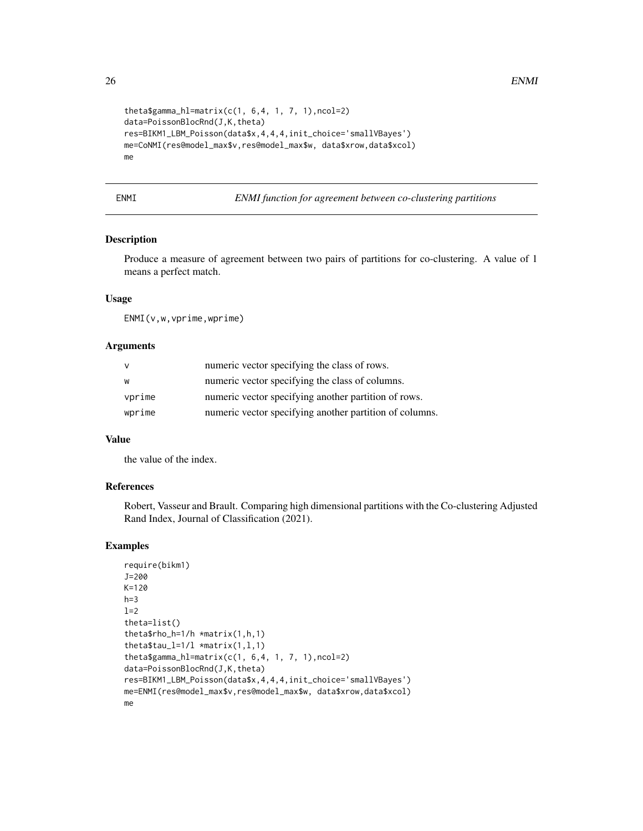```
theta$gamma_hl=matrix(c(1, 6, 4, 1, 7, 1), ncol=2)
data=PoissonBlocRnd(J,K,theta)
res=BIKM1_LBM_Poisson(data$x,4,4,4,init_choice='smallVBayes')
me=CoNMI(res@model_max$v,res@model_max$w, data$xrow,data$xcol)
me
```
ENMI *ENMI function for agreement between co-clustering partitions*

## Description

Produce a measure of agreement between two pairs of partitions for co-clustering. A value of 1 means a perfect match.

## Usage

ENMI(v,w,vprime,wprime)

## Arguments

| v      | numeric vector specifying the class of rows.            |
|--------|---------------------------------------------------------|
| w      | numeric vector specifying the class of columns.         |
| vprime | numeric vector specifying another partition of rows.    |
| wprime | numeric vector specifying another partition of columns. |

## Value

the value of the index.

#### References

Robert, Vasseur and Brault. Comparing high dimensional partitions with the Co-clustering Adjusted Rand Index, Journal of Classification (2021).

```
require(bikm1)
J=200
K=120
h=3l=2theta=list()
theta$rho_h=1/h *matrix(1,h,1)
theta$tau_l=1/1 *matrix(1,1,1)
theta$gamma_hl=matrix(c(1, 6,4, 1, 7, 1),ncol=2)
data=PoissonBlocRnd(J,K,theta)
res=BIKM1_LBM_Poisson(data$x,4,4,4,init_choice='smallVBayes')
me=ENMI(res@model_max$v,res@model_max$w, data$xrow,data$xcol)
me
```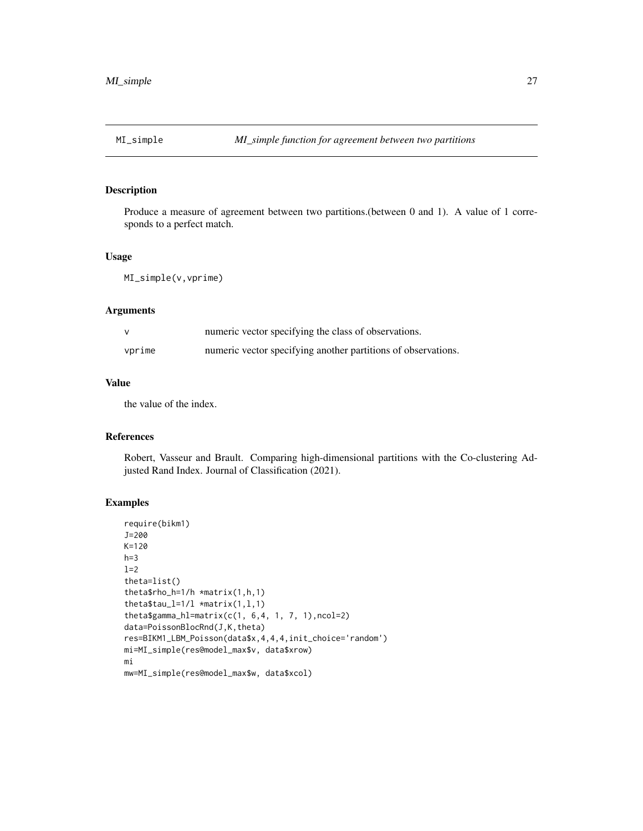<span id="page-26-0"></span>

Produce a measure of agreement between two partitions.(between 0 and 1). A value of 1 corresponds to a perfect match.

#### Usage

MI\_simple(v,vprime)

## Arguments

|        | numeric vector specifying the class of observations.          |
|--------|---------------------------------------------------------------|
| vprime | numeric vector specifying another partitions of observations. |

### Value

the value of the index.

## References

Robert, Vasseur and Brault. Comparing high-dimensional partitions with the Co-clustering Adjusted Rand Index. Journal of Classification (2021).

```
require(bikm1)
J=200
K=120
h=3l=2theta=list()
theta$rho_h=1/h *matrix(1,h,1)
theta$tau_l=1/1 *matrix(1,1,1)
theta$gamma_hl=matrix(c(1, 6,4, 1, 7, 1),ncol=2)
data=PoissonBlocRnd(J,K,theta)
res=BIKM1_LBM_Poisson(data$x,4,4,4,init_choice='random')
mi=MI_simple(res@model_max$v, data$xrow)
mi
mw=MI_simple(res@model_max$w, data$xcol)
```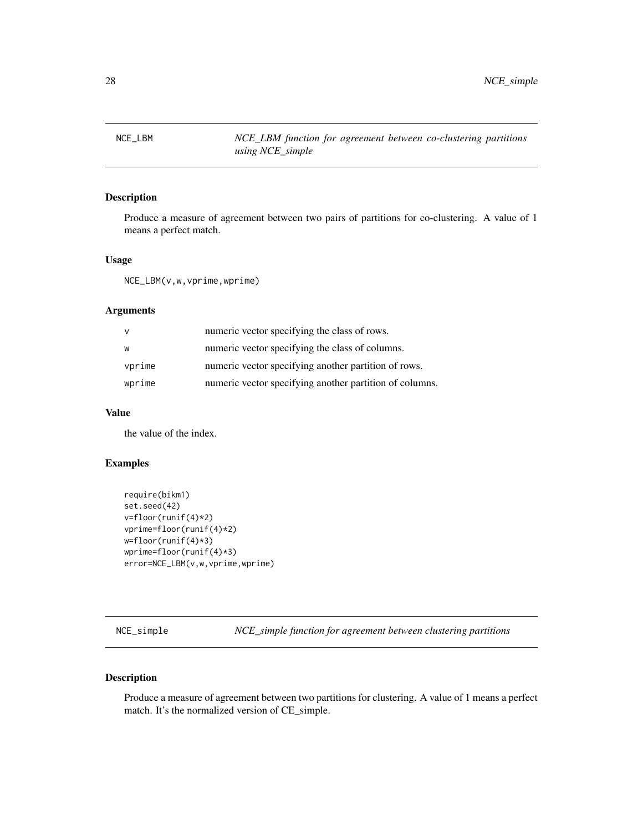<span id="page-27-0"></span>

Produce a measure of agreement between two pairs of partitions for co-clustering. A value of 1 means a perfect match.

## Usage

NCE\_LBM(v,w,vprime,wprime)

## Arguments

|        | numeric vector specifying the class of rows.            |
|--------|---------------------------------------------------------|
| W      | numeric vector specifying the class of columns.         |
| vprime | numeric vector specifying another partition of rows.    |
| wprime | numeric vector specifying another partition of columns. |

#### Value

the value of the index.

## Examples

```
require(bikm1)
set.seed(42)
v=floor(runif(4)*2)
vprime=floor(runif(4)*2)
w=floor(runif(4)*3)
wprime=floor(runif(4)*3)
error=NCE_LBM(v,w,vprime,wprime)
```
NCE\_simple *NCE\_simple function for agreement between clustering partitions*

## Description

Produce a measure of agreement between two partitions for clustering. A value of 1 means a perfect match. It's the normalized version of CE\_simple.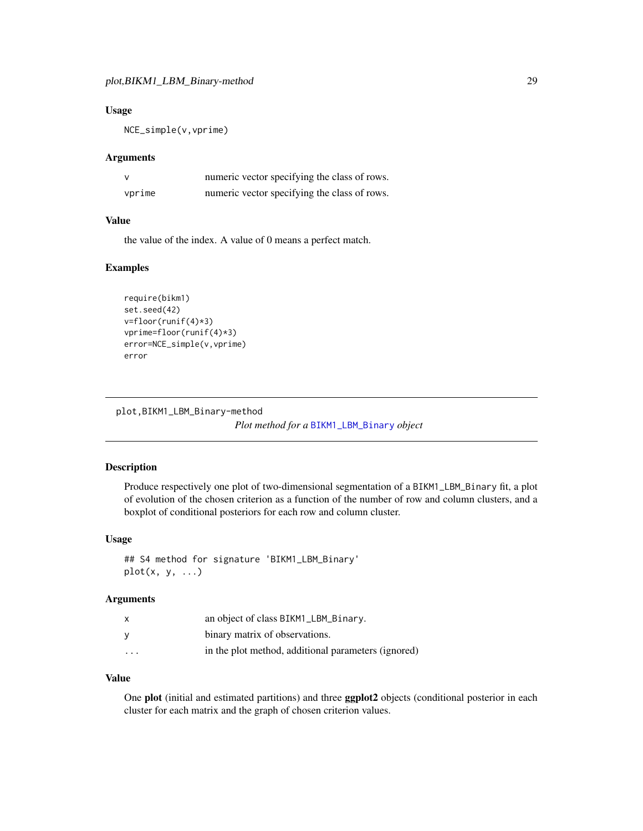#### <span id="page-28-0"></span>Usage

NCE\_simple(v,vprime)

#### **Arguments**

|        | numeric vector specifying the class of rows. |
|--------|----------------------------------------------|
| vprime | numeric vector specifying the class of rows. |

## Value

the value of the index. A value of 0 means a perfect match.

#### Examples

```
require(bikm1)
set.seed(42)
v=floor(runif(4)*3)
vprime=floor(runif(4)*3)
error=NCE_simple(v,vprime)
error
```
plot,BIKM1\_LBM\_Binary-method *Plot method for a* [BIKM1\\_LBM\\_Binary](#page-6-1) *object*

## Description

Produce respectively one plot of two-dimensional segmentation of a BIKM1\_LBM\_Binary fit, a plot of evolution of the chosen criterion as a function of the number of row and column clusters, and a boxplot of conditional posteriors for each row and column cluster.

#### Usage

## S4 method for signature 'BIKM1\_LBM\_Binary'  $plot(x, y, ...)$ 

## Arguments

| $\mathsf{x}$            | an object of class BIKM1_LBM_Binary.                |
|-------------------------|-----------------------------------------------------|
| <b>V</b>                | binary matrix of observations.                      |
| $\cdot$ $\cdot$ $\cdot$ | in the plot method, additional parameters (ignored) |

#### Value

One plot (initial and estimated partitions) and three ggplot2 objects (conditional posterior in each cluster for each matrix and the graph of chosen criterion values.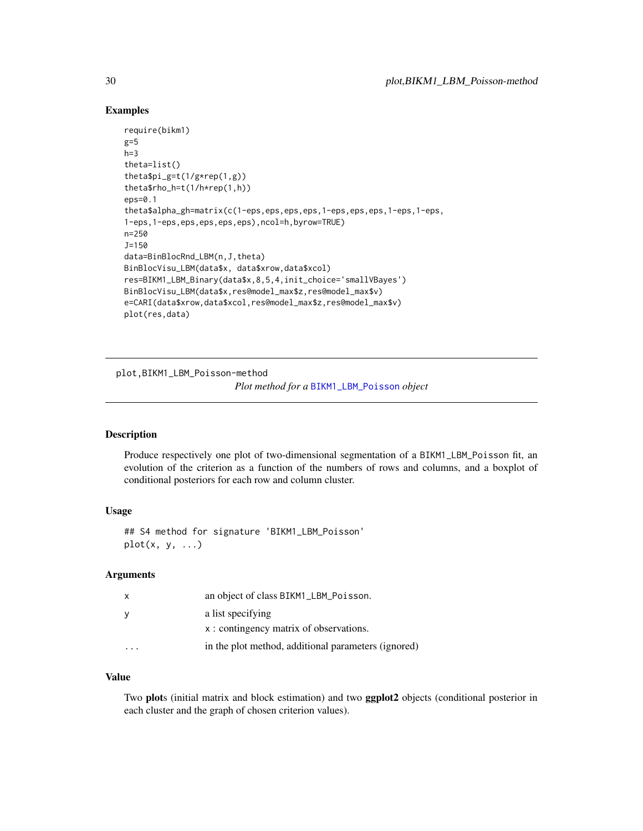## Examples

```
require(bikm1)
g=5h=3theta=list()
theta$pi_g=t(1/g*rep(1,g))
theta$rho_h=t(1/h*rep(1,h))
eps=0.1
theta$alpha_gh=matrix(c(1-eps,eps,eps,eps,1-eps,eps,eps,1-eps,1-eps,
1-eps,1-eps,eps,eps,eps,eps),ncol=h,byrow=TRUE)
n=250
J=150
data=BinBlocRnd_LBM(n,J,theta)
BinBlocVisu_LBM(data$x, data$xrow,data$xcol)
res=BIKM1_LBM_Binary(data$x,8,5,4,init_choice='smallVBayes')
BinBlocVisu_LBM(data$x,res@model_max$z,res@model_max$v)
e=CARI(data$xrow,data$xcol,res@model_max$z,res@model_max$v)
plot(res,data)
```
plot,BIKM1\_LBM\_Poisson-method

*Plot method for a* [BIKM1\\_LBM\\_Poisson](#page-9-1) *object*

#### Description

Produce respectively one plot of two-dimensional segmentation of a BIKM1\_LBM\_Poisson fit, an evolution of the criterion as a function of the numbers of rows and columns, and a boxplot of conditional posteriors for each row and column cluster.

## Usage

```
## S4 method for signature 'BIKM1_LBM_Poisson'
plot(x, y, ...)
```
#### Arguments

| x | an object of class BIKM1_LBM_Poisson.               |
|---|-----------------------------------------------------|
| У | a list specifying                                   |
|   | x: contingency matrix of observations.              |
|   | in the plot method, additional parameters (ignored) |

## Value

Two plots (initial matrix and block estimation) and two ggplot2 objects (conditional posterior in each cluster and the graph of chosen criterion values).

<span id="page-29-0"></span>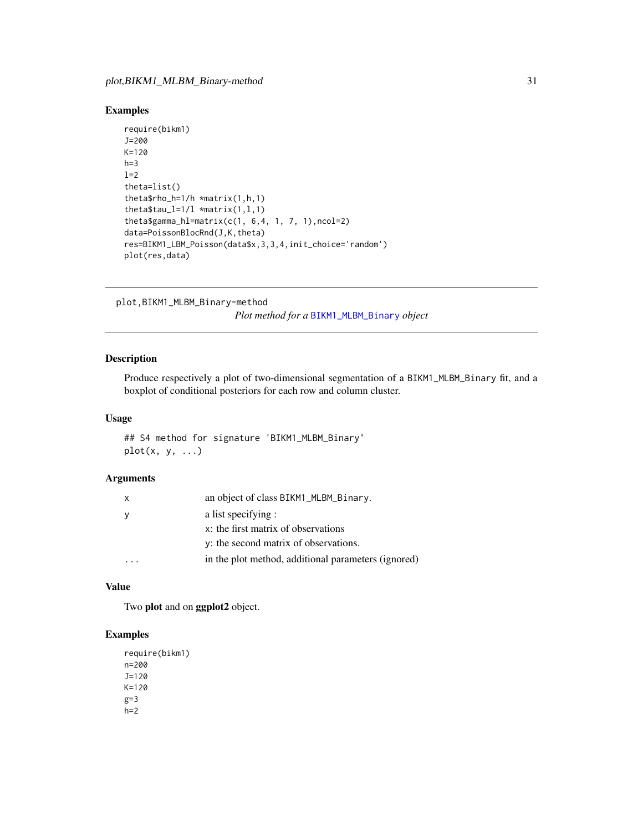## <span id="page-30-0"></span>Examples

```
require(bikm1)
J=200
K=120
h=3l=2theta=list()
theta$rho_h=1/h *matrix(1,h,1)
theta$tau_l=1/1 *matrix(1,1,1)
theta$gamma_hl=matrix(c(1, 6, 4, 1, 7, 1), ncol=2)
data=PoissonBlocRnd(J,K,theta)
res=BIKM1_LBM_Poisson(data$x,3,3,4,init_choice='random')
plot(res,data)
```
plot,BIKM1\_MLBM\_Binary-method

*Plot method for a* [BIKM1\\_MLBM\\_Binary](#page-12-1) *object*

## Description

Produce respectively a plot of two-dimensional segmentation of a BIKM1\_MLBM\_Binary fit, and a boxplot of conditional posteriors for each row and column cluster.

#### Usage

## S4 method for signature 'BIKM1\_MLBM\_Binary'  $plot(x, y, ...)$ 

## Arguments

| $\mathsf{x}$ | an object of class BIKM1_MLBM_Binary.               |
|--------------|-----------------------------------------------------|
| - y          | a list specifying :                                 |
|              | x: the first matrix of observations                 |
|              | y: the second matrix of observations.               |
|              | in the plot method, additional parameters (ignored) |
|              |                                                     |

#### Value

Two plot and on ggplot2 object.

```
require(bikm1)
n=200
J=120
K=120
g=3h=2
```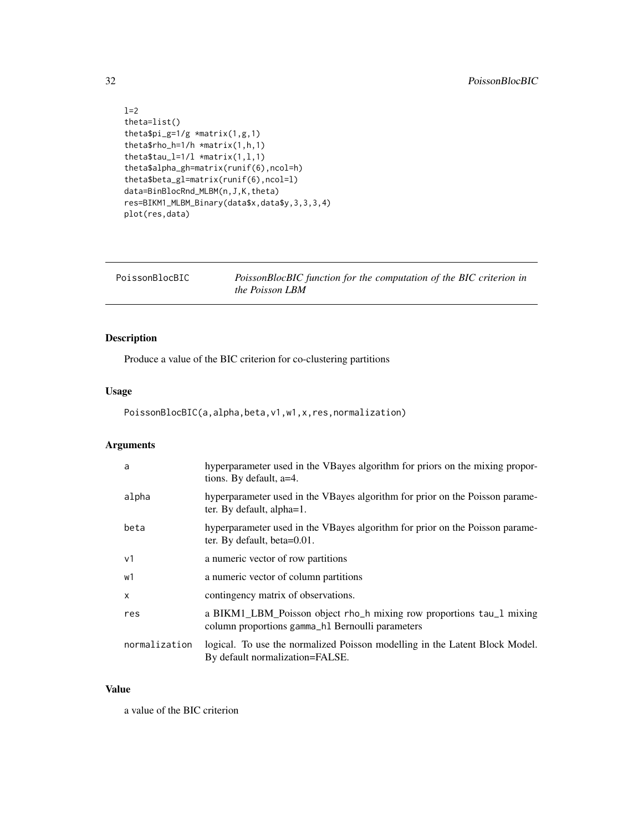```
l=2theta=list()
theta$pi_g=1/g *matrix(1,g,1)
theta$rho_h=1/h *matrix(1,h,1)
theta$tau_l=1/1 *matrix(1,1,1)
theta$alpha_gh=matrix(runif(6),ncol=h)
theta$beta_gl=matrix(runif(6),ncol=l)
data=BinBlocRnd_MLBM(n,J,K,theta)
res=BIKM1_MLBM_Binary(data$x,data$y,3,3,3,4)
plot(res,data)
```

| PoissonBlocBIC | PoissonBlocBIC function for the computation of the BIC criterion in |
|----------------|---------------------------------------------------------------------|
|                | the Poisson LBM                                                     |

Produce a value of the BIC criterion for co-clustering partitions

## Usage

PoissonBlocBIC(a,alpha,beta,v1,w1,x,res,normalization)

# Arguments

| a             | hyperparameter used in the VBayes algorithm for priors on the mixing propor-<br>tions. By default, a=4.                  |
|---------------|--------------------------------------------------------------------------------------------------------------------------|
| alpha         | hyperparameter used in the VBayes algorithm for prior on the Poisson parame-<br>ter. By default, alpha=1.                |
| beta          | hyperparameter used in the VBayes algorithm for prior on the Poisson parame-<br>ter. By default, beta=0.01.              |
| v1            | a numeric vector of row partitions                                                                                       |
| w1            | a numeric vector of column partitions                                                                                    |
| $\mathsf{x}$  | contingency matrix of observations.                                                                                      |
| res           | a BIKM1_LBM_Poisson object rho_h mixing row proportions tau_1 mixing<br>column proportions gamma_h1 Bernoulli parameters |
| normalization | logical. To use the normalized Poisson modelling in the Latent Block Model.<br>By default normalization=FALSE.           |

## Value

a value of the BIC criterion

<span id="page-31-0"></span>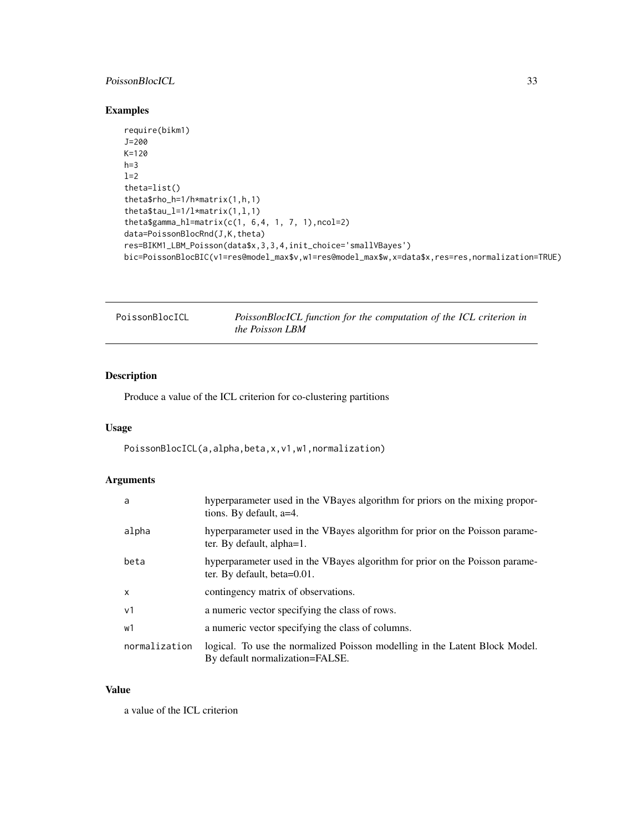# <span id="page-32-0"></span>PoissonBlocICL 33

# Examples

```
require(bikm1)
J=200
K=120
h=3l=2theta=list()
theta$rho_h=1/h*matrix(1,h,1)
theta$tau_l=1/l*matrix(1,l,1)
theta$gamma_hl=matrix(c(1, 6,4, 1, 7, 1),ncol=2)
data=PoissonBlocRnd(J,K,theta)
res=BIKM1_LBM_Poisson(data$x,3,3,4,init_choice='smallVBayes')
bic=PoissonBlocBIC(v1=res@model_max$v,w1=res@model_max$w,x=data$x,res=res,normalization=TRUE)
```

| PoissonBlocICL | PoissonBlocICL function for the computation of the ICL criterion in |
|----------------|---------------------------------------------------------------------|
|                | <i>the Poisson LBM</i>                                              |

# Description

Produce a value of the ICL criterion for co-clustering partitions

# Usage

PoissonBlocICL(a,alpha,beta,x,v1,w1,normalization)

## Arguments

| a              | hyperparameter used in the VBayes algorithm for priors on the mixing propor-<br>tions. By default, a=4.        |
|----------------|----------------------------------------------------------------------------------------------------------------|
| alpha          | hyperparameter used in the VBayes algorithm for prior on the Poisson parame-<br>ter. By default, alpha=1.      |
| beta           | hyperparameter used in the VBayes algorithm for prior on the Poisson parame-<br>ter. By default, beta=0.01.    |
| $\mathsf{x}$   | contingency matrix of observations.                                                                            |
| v <sub>1</sub> | a numeric vector specifying the class of rows.                                                                 |
| w1             | a numeric vector specifying the class of columns.                                                              |
| normalization  | logical. To use the normalized Poisson modelling in the Latent Block Model.<br>By default normalization=FALSE. |

#### Value

a value of the ICL criterion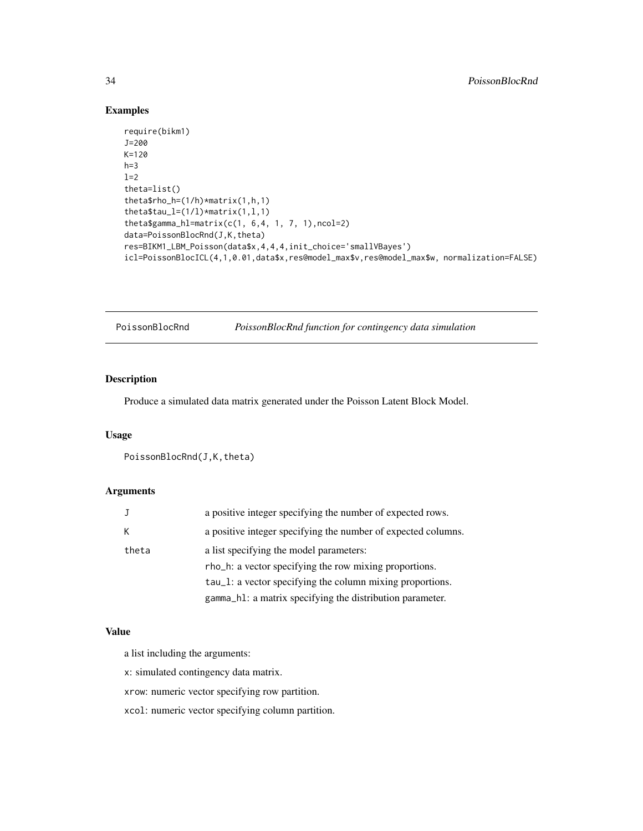## Examples

```
require(bikm1)
J=200
K=120
h=31=2theta=list()
theta$rho_h=(1/h)*matrix(1,h,1)
theta$tau_l=(1/l)*matrix(1,l,1)
theta$gamma_hl=matrix(c(1, 6,4, 1, 7, 1),ncol=2)
data=PoissonBlocRnd(J,K,theta)
res=BIKM1_LBM_Poisson(data$x,4,4,4,init_choice='smallVBayes')
icl=PoissonBlocICL(4,1,0.01,data$x,res@model_max$v,res@model_max$w, normalization=FALSE)
```
PoissonBlocRnd *PoissonBlocRnd function for contingency data simulation*

## Description

Produce a simulated data matrix generated under the Poisson Latent Block Model.

#### Usage

```
PoissonBlocRnd(J,K,theta)
```
## Arguments

|       | a positive integer specifying the number of expected rows.    |
|-------|---------------------------------------------------------------|
| К     | a positive integer specifying the number of expected columns. |
| theta | a list specifying the model parameters:                       |
|       | rho_h: a vector specifying the row mixing proportions.        |
|       | tau_1: a vector specifying the column mixing proportions.     |
|       | gamma_h1: a matrix specifying the distribution parameter.     |

#### Value

a list including the arguments:

x: simulated contingency data matrix.

xrow: numeric vector specifying row partition.

xcol: numeric vector specifying column partition.

<span id="page-33-0"></span>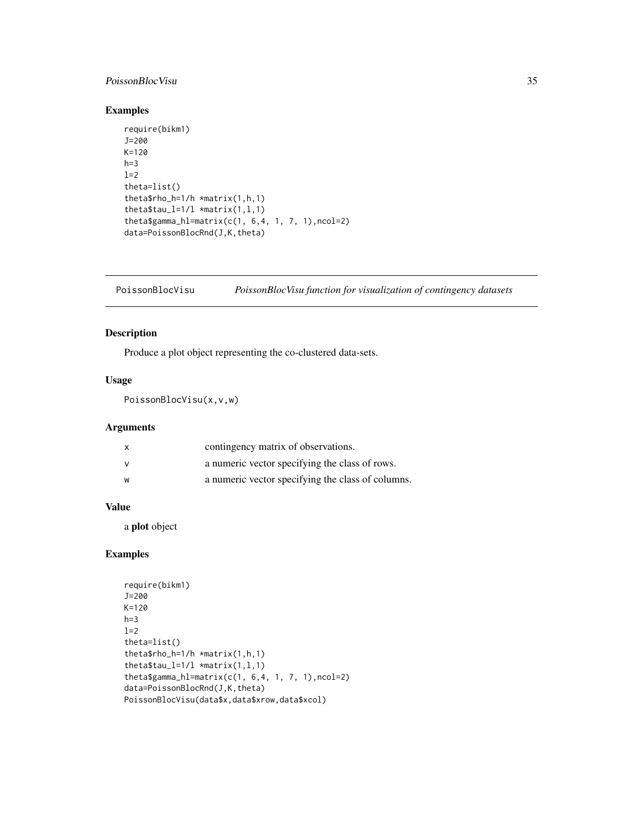## <span id="page-34-0"></span>PoissonBlocVisu 35

## Examples

```
require(bikm1)
J=200
K=120
h=3l=2theta=list()
theta$rho_h=1/h *matrix(1,h,1)
thetatau_l=1/l *matrix(1,1,1)
theta$gamma_hl=matrix(c(1, 6,4, 1, 7, 1),ncol=2)
data=PoissonBlocRnd(J,K,theta)
```
PoissonBlocVisu *PoissonBlocVisu function for visualization of contingency datasets*

## Description

Produce a plot object representing the co-clustered data-sets.

# Usage

PoissonBlocVisu(x,v,w)

## Arguments

| $\mathsf{x}$ | contingency matrix of observations.               |
|--------------|---------------------------------------------------|
|              | a numeric vector specifying the class of rows.    |
| w            | a numeric vector specifying the class of columns. |

## Value

a plot object

```
require(bikm1)
J=200
K=120
h=3l=2theta=list()
theta$rho_h=1/h *matrix(1,h,1)
theta$tau_l=1/1 *matrix(1,1,1)
theta$gamma_hl=matrix(c(1, 6,4, 1, 7, 1),ncol=2)
data=PoissonBlocRnd(J,K,theta)
PoissonBlocVisu(data$x,data$xrow,data$xcol)
```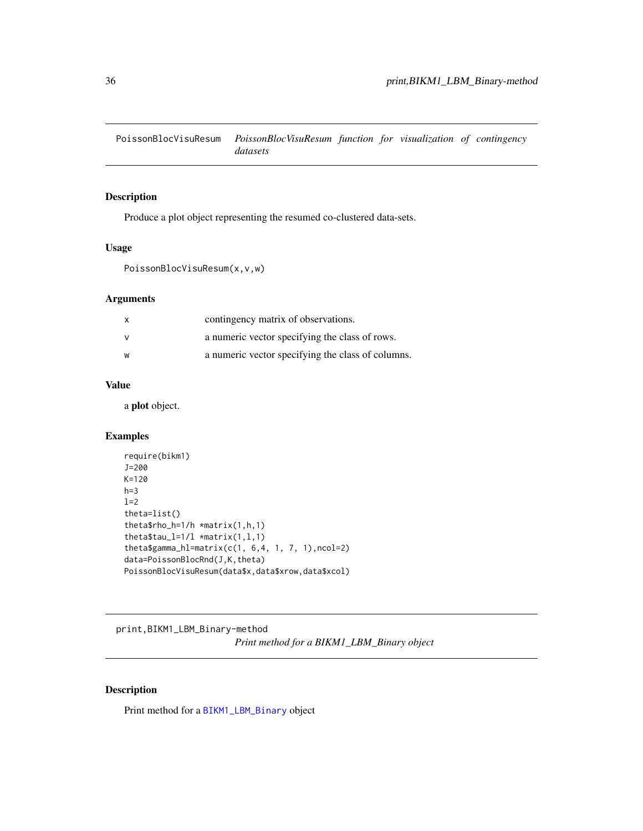<span id="page-35-0"></span>PoissonBlocVisuResum *PoissonBlocVisuResum function for visualization of contingency datasets*

## Description

Produce a plot object representing the resumed co-clustered data-sets.

## Usage

```
PoissonBlocVisuResum(x,v,w)
```
#### Arguments

| $\mathsf{X}$ | contingency matrix of observations.               |
|--------------|---------------------------------------------------|
|              | a numeric vector specifying the class of rows.    |
| w            | a numeric vector specifying the class of columns. |

## Value

a plot object.

## Examples

```
require(bikm1)
J=200
K=120
h=3l=2theta=list()
theta$rho_h=1/h *matrix(1,h,1)
theta$tau_l=1/1 *matrix(1,1,1)
theta$gamma_hl=matrix(c(1, 6, 4, 1, 7, 1), ncol=2)
data=PoissonBlocRnd(J,K,theta)
PoissonBlocVisuResum(data$x,data$xrow,data$xcol)
```
print,BIKM1\_LBM\_Binary-method

*Print method for a BIKM1\_LBM\_Binary object*

## Description

Print method for a [BIKM1\\_LBM\\_Binary](#page-6-1) object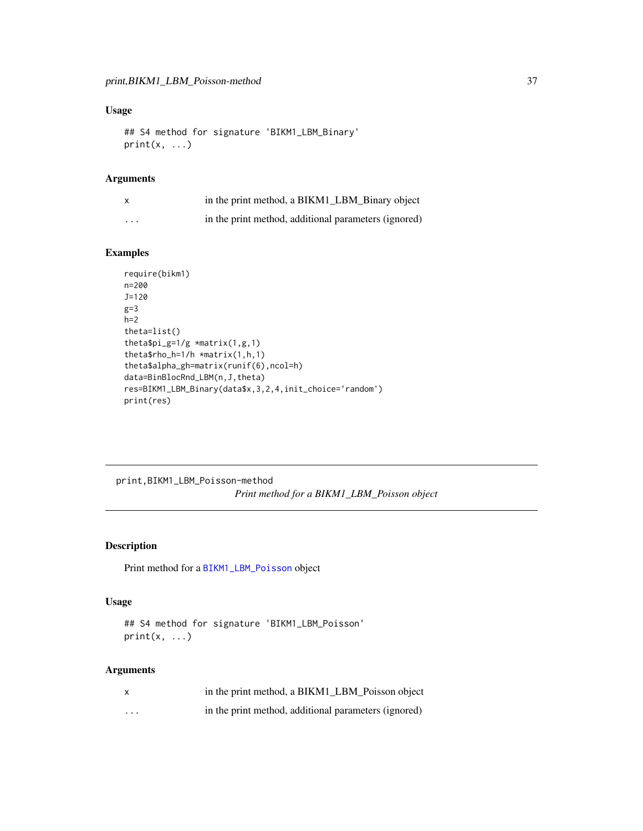## <span id="page-36-0"></span>Usage

```
## S4 method for signature 'BIKM1_LBM_Binary'
print(x, \ldots)
```
## Arguments

| X                       | in the print method, a BIKM1_LBM_Binary object       |
|-------------------------|------------------------------------------------------|
| $\cdot$ $\cdot$ $\cdot$ | in the print method, additional parameters (ignored) |

## Examples

```
require(bikm1)
n=200
J=120
g=3
h=2theta=list()
theta$pi_g=1/g *matrix(1,g,1)
theta$rho_h=1/h *matrix(1,h,1)
theta$alpha_gh=matrix(runif(6),ncol=h)
data=BinBlocRnd_LBM(n,J,theta)
res=BIKM1_LBM_Binary(data$x,3,2,4,init_choice='random')
print(res)
```
print,BIKM1\_LBM\_Poisson-method *Print method for a BIKM1\_LBM\_Poisson object*

## Description

Print method for a [BIKM1\\_LBM\\_Poisson](#page-9-1) object

#### Usage

```
## S4 method for signature 'BIKM1_LBM_Poisson'
print(x, \ldots)
```
## Arguments

| $\boldsymbol{\mathsf{x}}$ | in the print method, a BIKM1 LBM Poisson object      |
|---------------------------|------------------------------------------------------|
| $\cdots$                  | in the print method, additional parameters (ignored) |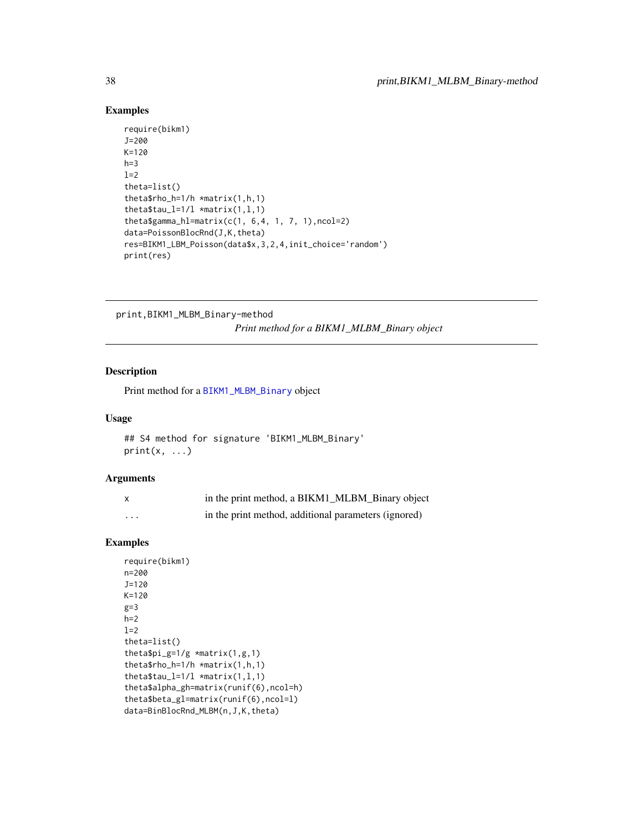## Examples

```
require(bikm1)
J=200
K=120
h=3l=2theta=list()
theta$rho_h=1/h *matrix(1,h,1)
thetatau_l=1/l *matrix(1,1,1)
theta$gamma_hl=matrix(c(1, 6, 4, 1, 7, 1), ncol=2)
data=PoissonBlocRnd(J,K,theta)
res=BIKM1_LBM_Poisson(data$x,3,2,4,init_choice='random')
print(res)
```
print,BIKM1\_MLBM\_Binary-method

*Print method for a BIKM1\_MLBM\_Binary object*

## Description

Print method for a [BIKM1\\_MLBM\\_Binary](#page-12-1) object

#### Usage

```
## S4 method for signature 'BIKM1_MLBM_Binary'
print(x, \ldots)
```
## Arguments

|          | in the print method, a BIKM1_MLBM_Binary object      |
|----------|------------------------------------------------------|
| $\cdots$ | in the print method, additional parameters (ignored) |

```
require(bikm1)
n=200
J=120
K=120
g=3h=2l=2theta=list()
thetapi_g=1/g \times matrix(1,g,1)theta$rho_h=1/h *matrix(1,h,1)
theta$tau_l=1/1 *matrix(1,1,1)
theta$alpha_gh=matrix(runif(6),ncol=h)
theta$beta_gl=matrix(runif(6),ncol=l)
data=BinBlocRnd_MLBM(n,J,K,theta)
```
<span id="page-37-0"></span>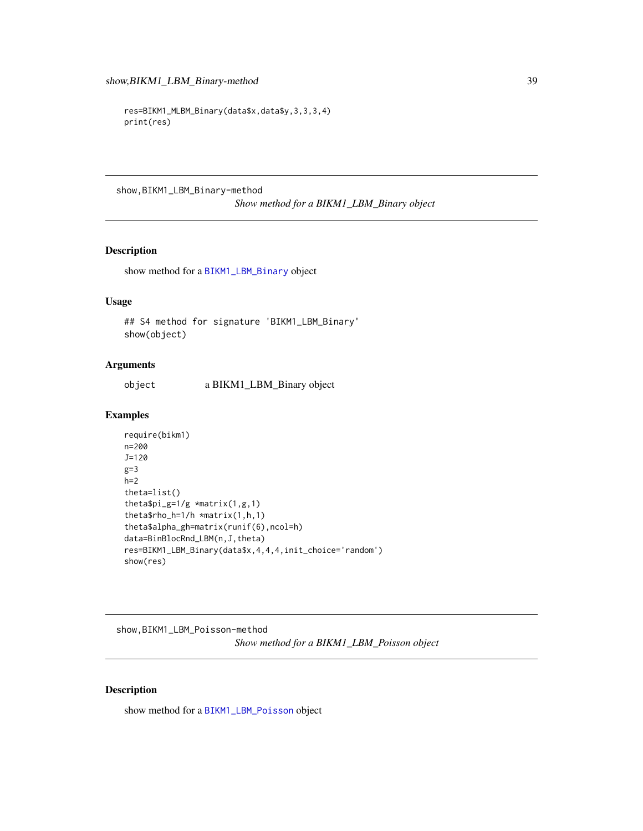```
res=BIKM1_MLBM_Binary(data$x,data$y,3,3,3,4)
print(res)
```
show,BIKM1\_LBM\_Binary-method

*Show method for a BIKM1\_LBM\_Binary object*

## Description

show method for a [BIKM1\\_LBM\\_Binary](#page-6-1) object

## Usage

## S4 method for signature 'BIKM1\_LBM\_Binary' show(object)

#### Arguments

object a BIKM1\_LBM\_Binary object

### Examples

```
require(bikm1)
n=200
J=120
g=3h=2theta=list()
thetapi_g=1/g \times matrix(1,g,1)theta$rho_h=1/h *matrix(1,h,1)
theta$alpha_gh=matrix(runif(6),ncol=h)
data=BinBlocRnd_LBM(n,J,theta)
res=BIKM1_LBM_Binary(data$x,4,4,4,init_choice='random')
show(res)
```
show,BIKM1\_LBM\_Poisson-method *Show method for a BIKM1\_LBM\_Poisson object*

## Description

show method for a [BIKM1\\_LBM\\_Poisson](#page-9-1) object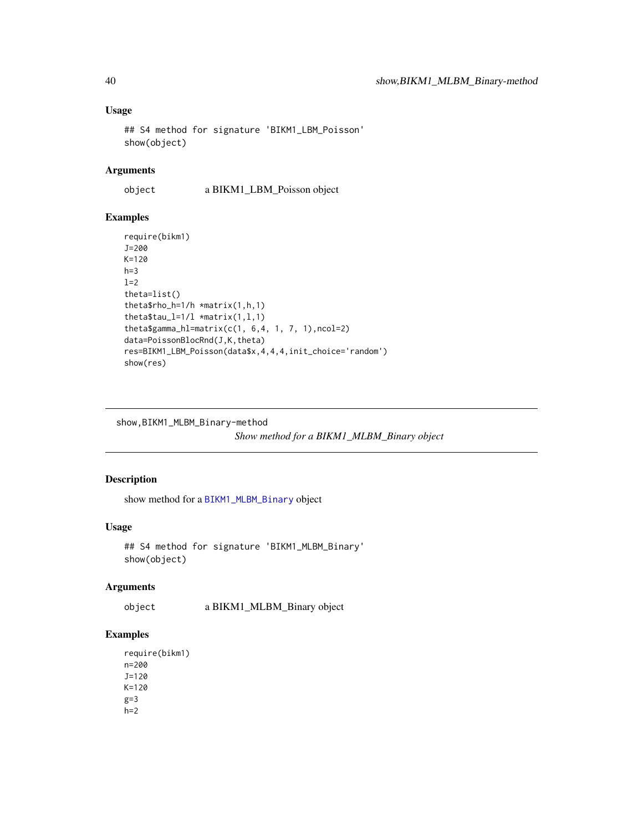# Usage

```
## S4 method for signature 'BIKM1_LBM_Poisson'
show(object)
```
## Arguments

object a BIKM1\_LBM\_Poisson object

## Examples

```
require(bikm1)
J=200
K=120
h=3l=2theta=list()
theta$rho_h=1/h *matrix(1,h,1)
theta$tau_l=1/l *matrix(1,l,1)
theta$gamma_hl=matrix(c(1, 6, 4, 1, 7, 1), ncol=2)
data=PoissonBlocRnd(J,K,theta)
res=BIKM1_LBM_Poisson(data$x,4,4,4,init_choice='random')
show(res)
```
show,BIKM1\_MLBM\_Binary-method

```
Show method for a BIKM1_MLBM_Binary object
```
## Description

show method for a [BIKM1\\_MLBM\\_Binary](#page-12-1) object

# Usage

```
## S4 method for signature 'BIKM1_MLBM_Binary'
show(object)
```
#### Arguments

object a BIKM1\_MLBM\_Binary object

## Examples

require(bikm1) n=200 J=120 K=120  $g=3$  $h=2$ 

<span id="page-39-0"></span>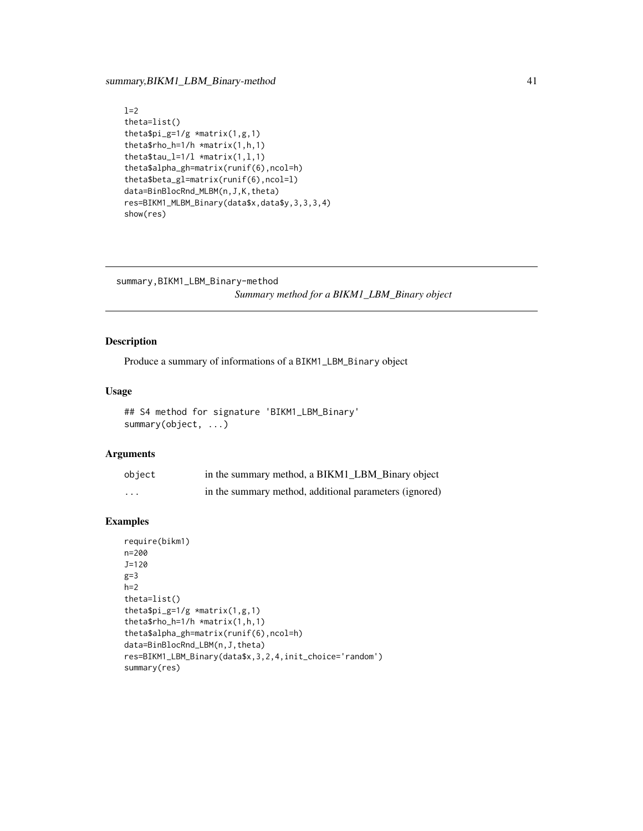## <span id="page-40-0"></span>summary, BIKM1\_LBM\_Binary-method 41

```
l=2theta=list()
theta$pi_g=1/g *matrix(1,g,1)
theta$rho_h=1/h *matrix(1,h,1)
theta$tau_l=1/1 *matrix(1,1,1)
theta$alpha_gh=matrix(runif(6),ncol=h)
theta$beta_gl=matrix(runif(6),ncol=l)
data=BinBlocRnd_MLBM(n,J,K,theta)
res=BIKM1_MLBM_Binary(data$x,data$y,3,3,3,4)
show(res)
```

```
summary,BIKM1_LBM_Binary-method
```
*Summary method for a BIKM1\_LBM\_Binary object*

## Description

Produce a summary of informations of a BIKM1\_LBM\_Binary object

## Usage

```
## S4 method for signature 'BIKM1_LBM_Binary'
summary(object, ...)
```
### Arguments

| object | in the summary method, a BIKM1_LBM_Binary object       |
|--------|--------------------------------------------------------|
| .      | in the summary method, additional parameters (ignored) |

```
require(bikm1)
n=200
J=120
g=3h=2theta=list()
theta$pi_g=1/g *matrix(1,g,1)
theta$rho_h=1/h *matrix(1,h,1)
theta$alpha_gh=matrix(runif(6),ncol=h)
data=BinBlocRnd_LBM(n,J,theta)
res=BIKM1_LBM_Binary(data$x,3,2,4,init_choice='random')
summary(res)
```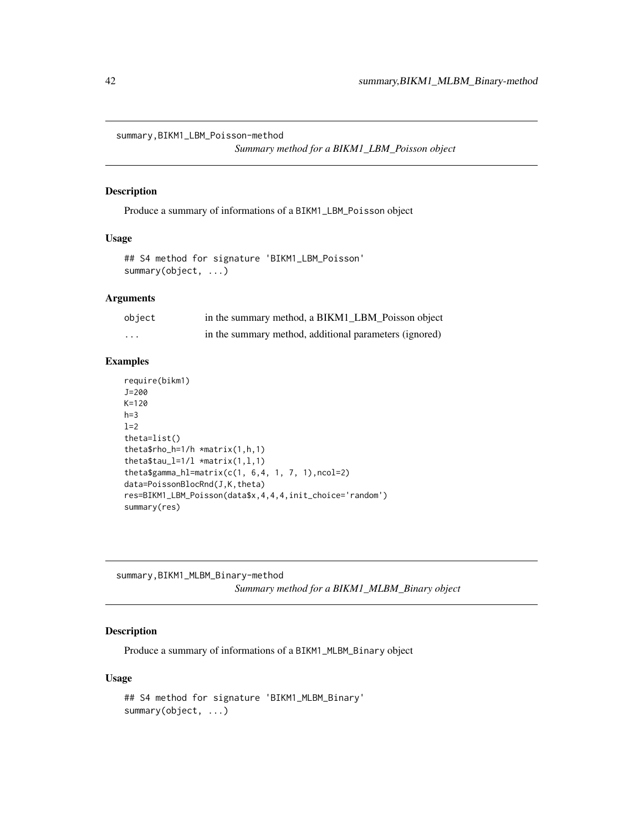<span id="page-41-0"></span>summary,BIKM1\_LBM\_Poisson-method

*Summary method for a BIKM1\_LBM\_Poisson object*

## Description

Produce a summary of informations of a BIKM1\_LBM\_Poisson object

#### Usage

```
## S4 method for signature 'BIKM1_LBM_Poisson'
summary(object, ...)
```
### **Arguments**

| object | in the summary method, a BIKM1 LBM Poisson object      |
|--------|--------------------------------------------------------|
| .      | in the summary method, additional parameters (ignored) |

## Examples

```
require(bikm1)
J=200
K=120
h=3l=2theta=list()
theta$rho_h=1/h *matrix(1,h,1)
theta$tau_l=1/l *matrix(1,l,1)
theta$gamma_hl=matrix(c(1, 6, 4, 1, 7, 1), ncol=2)
data=PoissonBlocRnd(J,K,theta)
res=BIKM1_LBM_Poisson(data$x,4,4,4,init_choice='random')
summary(res)
```
summary,BIKM1\_MLBM\_Binary-method *Summary method for a BIKM1\_MLBM\_Binary object*

#### Description

Produce a summary of informations of a BIKM1\_MLBM\_Binary object

## Usage

```
## S4 method for signature 'BIKM1_MLBM_Binary'
summary(object, ...)
```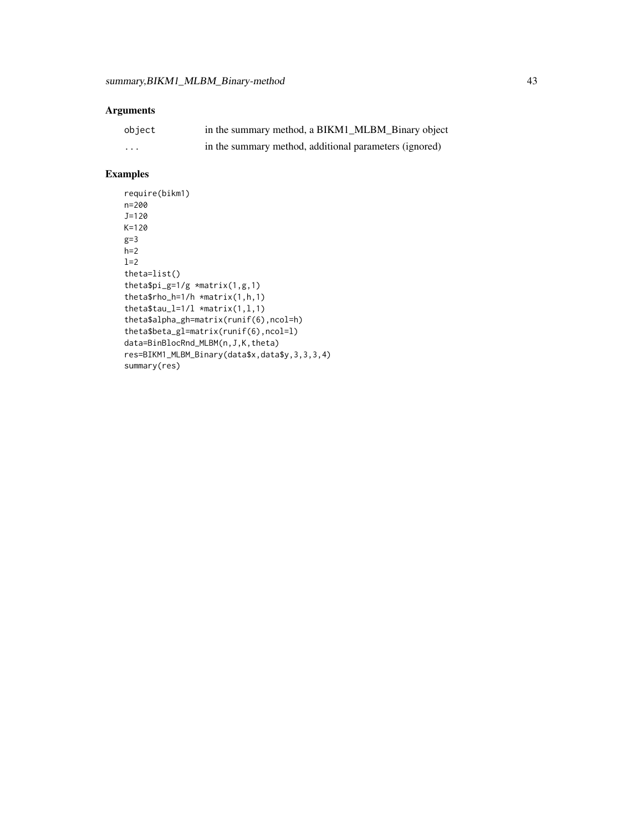# Arguments

| object | in the summary method, a BIKM1_MLBM_Binary object      |
|--------|--------------------------------------------------------|
| .      | in the summary method, additional parameters (ignored) |

```
require(bikm1)
n=200
J=120
K=120
g=3h=2l=2theta=list()
theta$pi_g=1/g \times matrix(1, g, 1)theta$rho_h=1/h *matrix(1,h,1)
theta$tau_l=1/l *matrix(1,l,1)
theta$alpha_gh=matrix(runif(6),ncol=h)
theta$beta_gl=matrix(runif(6),ncol=l)
data=BinBlocRnd_MLBM(n,J,K,theta)
res=BIKM1_MLBM_Binary(data$x,data$y,3,3,3,4)
summary(res)
```